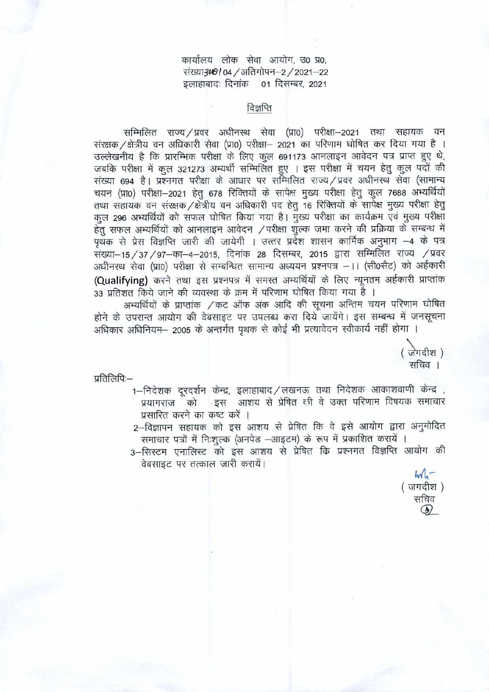cpIc14 ci'Icp cTT 31ILl'1I, **30 O, I/ 04** / 311 **I Y 1-2** / **2021-22 cli6t6li:** 1-iicp **01 2021** 

# विज्ञप्ति

सम्मिलित राज्य */* प्रवर अधीनस्थ सेवा (प्रा0) परीक्षा—2021 तथा सहायक वन  $\frac{1}{2}$  संरक्षक / क्षेत्रीय वन अधिकारी सेवा (प्रा0) परीक्षा- 2021 का परिणाम घोषित कर दिया गया है । उल्लेखनीय है कि प्रारम्भिक परीक्षा के लिए कुल 691173 आनलाइन आवेदन पत्र प्राप्त हुए थे,<br>जबकि परीक्षा में कुल 321273 अभ्यर्थी सम्मिलित हुए । इस परीक्षा में चयन हेतु कुल पदों की ापेशाऱ्य<br>1631 संस्था—2021 तथा सहायक वन<br>16 संस्थक /क्षेत्रीय वन अधिकारी सेवा (प्रा0) परीक्षा— 2021 का परिणाम घोषित कर दिया गया है<br>3ल्लेखनीय है कि प्रारम्भिक परीक्षा के लिए कुल 691173 आनलाइन आवेदन पत्र प्राप्त हुए थे,<br>नंख् चयन (प्रा0) परीक्षा-2021 हेतु 678 रिक्तियों के सापेक्ष मुख्य परीक्षा हेतु कुल 7688 अभ्यर्थियों तथा सहायक वन संरक्षक / क्षेत्रीय वन अधिकारी पद हेतु 16 रिक्तियों के सापेक्ष मुख्य परीक्षा हेतु कूल 296 अभ्यर्थियों को सफल घोषित किया गया है। मुख्य परीक्षा का कार्यक्रम एवं मुख्य परीक्षा हेतु सफल अभ्यर्थियों को आनलाइन आवेदन /परीक्षा शुल्क जमा करने की प्रक्रिया के सम्बन्ध में पृथक से प्रेस विज्ञप्ति जारी की जायेगी । उत्तर प्रदेश शासन कार्मिक अनुभाग -4 के पत्र संख्या-15 / 37 / 97-का-4-2015, दिनांक 28 दिसम्बर, 2015 द्वारा सम्मिलित राज्य / प्रवर अधीनस्थ सेवा (प्रा0) परीक्षा से सम्बन्धित सामान्य अध्ययन प्रश्नपत्र –।। (सी0सैट) को अर्हकारी (Qualifying) करने तथा इस प्रश्नपत्र में समस्त अभ्यर्थियों के लिए न्यूनतम अर्हकारी प्राप्तांक 33 प्रतिशत किये जाने की व्यवस्था के क्रम में परिणाम घोषित किया गया है ।

की व्यवस्था के क्रम में परिणाम घाषित किया गया है ।<br>ग़प्तांक */* कट ऑफ अंक आदि की सूचना अन्तिम चयन परिणाम घोषित होने के उपरान्त आयोग की वेबसाइट पर उपलब्ध करा दिये जायेंगे। इस सम्बन्ध में जनसूचना अधिकार अधिनियम– 2005 के अन्तर्गत पृथक से कोई भी प्रत्यावेदन स्वीकार्य नहीं होगा ।

( जगदीश सचिव ।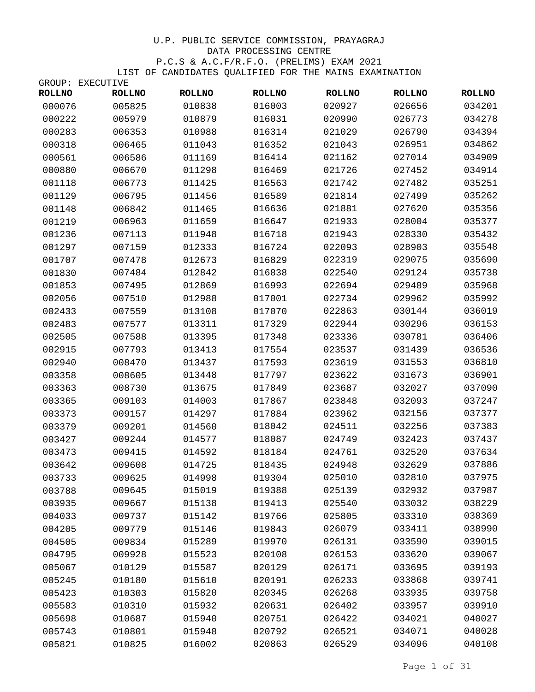|               | GROUP: EXECUTIVE |               |               |               |               |               |
|---------------|------------------|---------------|---------------|---------------|---------------|---------------|
| <b>ROLLNO</b> | <b>ROLLNO</b>    | <b>ROLLNO</b> | <b>ROLLNO</b> | <b>ROLLNO</b> | <b>ROLLNO</b> | <b>ROLLNO</b> |
| 000076        | 005825           | 010838        | 016003        | 020927        | 026656        | 034201        |
| 000222        | 005979           | 010879        | 016031        | 020990        | 026773        | 034278        |
| 000283        | 006353           | 010988        | 016314        | 021029        | 026790        | 034394        |
| 000318        | 006465           | 011043        | 016352        | 021043        | 026951        | 034862        |
| 000561        | 006586           | 011169        | 016414        | 021162        | 027014        | 034909        |
| 000880        | 006670           | 011298        | 016469        | 021726        | 027452        | 034914        |
| 001118        | 006773           | 011425        | 016563        | 021742        | 027482        | 035251        |
| 001129        | 006795           | 011456        | 016589        | 021814        | 027499        | 035262        |
| 001148        | 006842           | 011465        | 016636        | 021881        | 027620        | 035356        |
| 001219        | 006963           | 011659        | 016647        | 021933        | 028004        | 035377        |
| 001236        | 007113           | 011948        | 016718        | 021943        | 028330        | 035432        |
| 001297        | 007159           | 012333        | 016724        | 022093        | 028903        | 035548        |
| 001707        | 007478           | 012673        | 016829        | 022319        | 029075        | 035690        |
| 001830        | 007484           | 012842        | 016838        | 022540        | 029124        | 035738        |
| 001853        | 007495           | 012869        | 016993        | 022694        | 029489        | 035968        |
| 002056        | 007510           | 012988        | 017001        | 022734        | 029962        | 035992        |
| 002433        | 007559           | 013108        | 017070        | 022863        | 030144        | 036019        |
| 002483        | 007577           | 013311        | 017329        | 022944        | 030296        | 036153        |
| 002505        | 007588           | 013395        | 017348        | 023336        | 030781        | 036406        |
| 002915        | 007793           | 013413        | 017554        | 023537        | 031439        | 036536        |
| 002940        | 008470           | 013437        | 017593        | 023619        | 031553        | 036810        |
| 003358        | 008605           | 013448        | 017797        | 023622        | 031673        | 036901        |
| 003363        | 008730           | 013675        | 017849        | 023687        | 032027        | 037090        |
| 003365        | 009103           | 014003        | 017867        | 023848        | 032093        | 037247        |
| 003373        | 009157           | 014297        | 017884        | 023962        | 032156        | 037377        |
| 003379        | 009201           | 014560        | 018042        | 024511        | 032256        | 037383        |
| 003427        | 009244           | 014577        | 018087        | 024749        | 032423        | 037437        |
| 003473        | 009415           | 014592        | 018184        | 024761        | 032520        | 037634        |
| 003642        | 009608           | 014725        | 018435        | 024948        | 032629        | 037886        |
| 003733        | 009625           | 014998        | 019304        | 025010        | 032810        | 037975        |
| 003788        | 009645           | 015019        | 019388        | 025139        | 032932        | 037987        |
| 003935        | 009667           | 015138        | 019413        | 025540        | 033032        | 038229        |
| 004033        | 009737           | 015142        | 019766        | 025805        | 033310        | 038369        |
| 004205        | 009779           | 015146        | 019843        | 026079        | 033411        | 038990        |
| 004505        | 009834           | 015289        | 019970        | 026131        | 033590        | 039015        |
| 004795        | 009928           | 015523        | 020108        | 026153        | 033620        | 039067        |
| 005067        | 010129           | 015587        | 020129        | 026171        | 033695        | 039193        |
| 005245        | 010180           | 015610        | 020191        | 026233        | 033868        | 039741        |
| 005423        | 010303           | 015820        | 020345        | 026268        | 033935        | 039758        |
| 005583        | 010310           | 015932        | 020631        | 026402        | 033957        | 039910        |
| 005698        | 010687           | 015940        | 020751        | 026422        | 034021        | 040027        |
| 005743        | 010801           | 015948        | 020792        | 026521        | 034071        | 040028        |
| 005821        | 010825           | 016002        | 020863        | 026529        | 034096        | 040108        |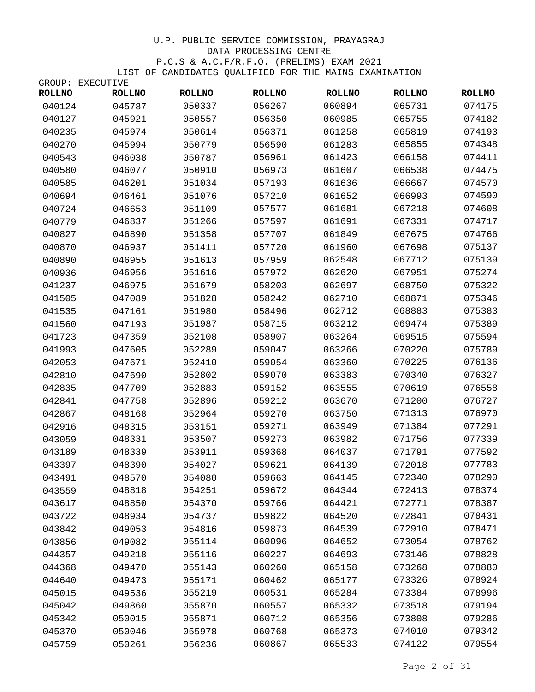|               | GROUP: EXECUTIVE |               |               |               |               |               |
|---------------|------------------|---------------|---------------|---------------|---------------|---------------|
| <b>ROLLNO</b> | <b>ROLLNO</b>    | <b>ROLLNO</b> | <b>ROLLNO</b> | <b>ROLLNO</b> | <b>ROLLNO</b> | <b>ROLLNO</b> |
| 040124        | 045787           | 050337        | 056267        | 060894        | 065731        | 074175        |
| 040127        | 045921           | 050557        | 056350        | 060985        | 065755        | 074182        |
| 040235        | 045974           | 050614        | 056371        | 061258        | 065819        | 074193        |
| 040270        | 045994           | 050779        | 056590        | 061283        | 065855        | 074348        |
| 040543        | 046038           | 050787        | 056961        | 061423        | 066158        | 074411        |
| 040580        | 046077           | 050910        | 056973        | 061607        | 066538        | 074475        |
| 040585        | 046201           | 051034        | 057193        | 061636        | 066667        | 074570        |
| 040694        | 046461           | 051076        | 057210        | 061652        | 066993        | 074590        |
| 040724        | 046653           | 051109        | 057577        | 061681        | 067218        | 074608        |
| 040779        | 046837           | 051266        | 057597        | 061691        | 067331        | 074717        |
| 040827        | 046890           | 051358        | 057707        | 061849        | 067675        | 074766        |
| 040870        | 046937           | 051411        | 057720        | 061960        | 067698        | 075137        |
| 040890        | 046955           | 051613        | 057959        | 062548        | 067712        | 075139        |
| 040936        | 046956           | 051616        | 057972        | 062620        | 067951        | 075274        |
| 041237        | 046975           | 051679        | 058203        | 062697        | 068750        | 075322        |
| 041505        | 047089           | 051828        | 058242        | 062710        | 068871        | 075346        |
| 041535        | 047161           | 051980        | 058496        | 062712        | 068883        | 075383        |
| 041560        | 047193           | 051987        | 058715        | 063212        | 069474        | 075389        |
| 041723        | 047359           | 052108        | 058907        | 063264        | 069515        | 075594        |
| 041993        | 047605           | 052289        | 059047        | 063266        | 070220        | 075789        |
| 042053        | 047671           | 052410        | 059054        | 063360        | 070225        | 076136        |
| 042810        | 047690           | 052802        | 059070        | 063383        | 070340        | 076327        |
| 042835        | 047709           | 052883        | 059152        | 063555        | 070619        | 076558        |
| 042841        | 047758           | 052896        | 059212        | 063670        | 071200        | 076727        |
| 042867        | 048168           | 052964        | 059270        | 063750        | 071313        | 076970        |
| 042916        | 048315           | 053151        | 059271        | 063949        | 071384        | 077291        |
| 043059        | 048331           | 053507        | 059273        | 063982        | 071756        | 077339        |
| 043189        | 048339           | 053911        | 059368        | 064037        | 071791        | 077592        |
| 043397        | 048390           | 054027        | 059621        | 064139        | 072018        | 077783        |
| 043491        | 048570           | 054080        | 059663        | 064145        | 072340        | 078290        |
| 043559        | 048818           | 054251        | 059672        | 064344        | 072413        | 078374        |
| 043617        | 048850           | 054370        | 059766        | 064421        | 072771        | 078387        |
| 043722        | 048934           | 054737        | 059822        | 064520        | 072841        | 078431        |
| 043842        | 049053           | 054816        | 059873        | 064539        | 072910        | 078471        |
| 043856        | 049082           | 055114        | 060096        | 064652        | 073054        | 078762        |
| 044357        | 049218           | 055116        | 060227        | 064693        | 073146        | 078828        |
| 044368        | 049470           | 055143        | 060260        | 065158        | 073268        | 078880        |
| 044640        | 049473           | 055171        | 060462        | 065177        | 073326        | 078924        |
| 045015        | 049536           | 055219        | 060531        | 065284        | 073384        | 078996        |
| 045042        | 049860           | 055870        | 060557        | 065332        | 073518        | 079194        |
| 045342        | 050015           | 055871        | 060712        | 065356        | 073808        | 079286        |
| 045370        | 050046           | 055978        | 060768        | 065373        | 074010        | 079342        |
| 045759        | 050261           | 056236        | 060867        | 065533        | 074122        | 079554        |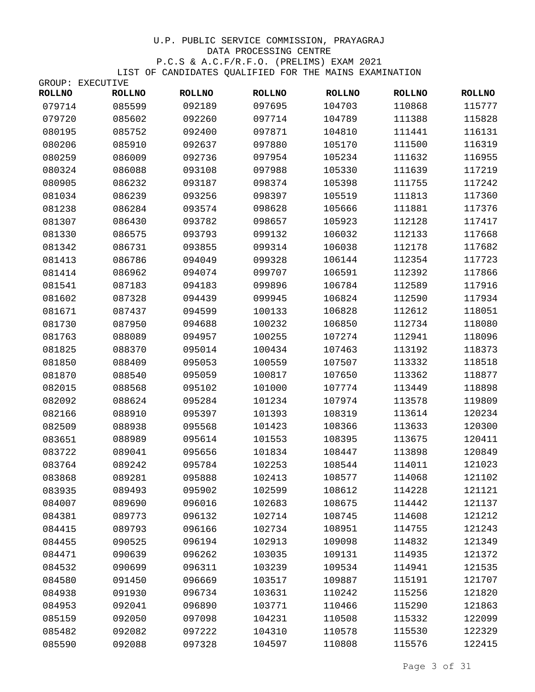|               | GROUP: EXECUTIVE |               |               |               |               |               |
|---------------|------------------|---------------|---------------|---------------|---------------|---------------|
| <b>ROLLNO</b> | <b>ROLLNO</b>    | <b>ROLLNO</b> | <b>ROLLNO</b> | <b>ROLLNO</b> | <b>ROLLNO</b> | <b>ROLLNO</b> |
| 079714        | 085599           | 092189        | 097695        | 104703        | 110868        | 115777        |
| 079720        | 085602           | 092260        | 097714        | 104789        | 111388        | 115828        |
| 080195        | 085752           | 092400        | 097871        | 104810        | 111441        | 116131        |
| 080206        | 085910           | 092637        | 097880        | 105170        | 111500        | 116319        |
| 080259        | 086009           | 092736        | 097954        | 105234        | 111632        | 116955        |
| 080324        | 086088           | 093108        | 097988        | 105330        | 111639        | 117219        |
| 080905        | 086232           | 093187        | 098374        | 105398        | 111755        | 117242        |
| 081034        | 086239           | 093256        | 098397        | 105519        | 111813        | 117360        |
| 081238        | 086284           | 093574        | 098628        | 105666        | 111881        | 117376        |
| 081307        | 086430           | 093782        | 098657        | 105923        | 112128        | 117417        |
| 081330        | 086575           | 093793        | 099132        | 106032        | 112133        | 117668        |
| 081342        | 086731           | 093855        | 099314        | 106038        | 112178        | 117682        |
| 081413        | 086786           | 094049        | 099328        | 106144        | 112354        | 117723        |
| 081414        | 086962           | 094074        | 099707        | 106591        | 112392        | 117866        |
| 081541        | 087183           | 094183        | 099896        | 106784        | 112589        | 117916        |
| 081602        | 087328           | 094439        | 099945        | 106824        | 112590        | 117934        |
| 081671        | 087437           | 094599        | 100133        | 106828        | 112612        | 118051        |
| 081730        | 087950           | 094688        | 100232        | 106850        | 112734        | 118080        |
| 081763        | 088089           | 094957        | 100255        | 107274        | 112941        | 118096        |
| 081825        | 088370           | 095014        | 100434        | 107463        | 113192        | 118373        |
| 081850        | 088409           | 095053        | 100559        | 107507        | 113332        | 118518        |
| 081870        | 088540           | 095059        | 100817        | 107650        | 113362        | 118877        |
| 082015        | 088568           | 095102        | 101000        | 107774        | 113449        | 118898        |
| 082092        | 088624           | 095284        | 101234        | 107974        | 113578        | 119809        |
| 082166        | 088910           | 095397        | 101393        | 108319        | 113614        | 120234        |
| 082509        | 088938           | 095568        | 101423        | 108366        | 113633        | 120300        |
| 083651        | 088989           | 095614        | 101553        | 108395        | 113675        | 120411        |
| 083722        | 089041           | 095656        | 101834        | 108447        | 113898        | 120849        |
| 083764        | 089242           | 095784        | 102253        | 108544        | 114011        | 121023        |
| 083868        | 089281           | 095888        | 102413        | 108577        | 114068        | 121102        |
| 083935        | 089493           | 095902        | 102599        | 108612        | 114228        | 121121        |
| 084007        | 089690           | 096016        | 102683        | 108675        | 114442        | 121137        |
| 084381        | 089773           | 096132        | 102714        | 108745        | 114608        | 121212        |
| 084415        | 089793           | 096166        | 102734        | 108951        | 114755        | 121243        |
| 084455        | 090525           | 096194        | 102913        | 109098        | 114832        | 121349        |
| 084471        | 090639           | 096262        | 103035        | 109131        | 114935        | 121372        |
| 084532        | 090699           | 096311        | 103239        | 109534        | 114941        | 121535        |
| 084580        | 091450           | 096669        | 103517        | 109887        | 115191        | 121707        |
| 084938        | 091930           | 096734        | 103631        | 110242        | 115256        | 121820        |
| 084953        | 092041           | 096890        | 103771        | 110466        | 115290        | 121863        |
| 085159        | 092050           | 097098        | 104231        | 110508        | 115332        | 122099        |
| 085482        | 092082           | 097222        | 104310        | 110578        | 115530        | 122329        |
| 085590        | 092088           | 097328        | 104597        | 110808        | 115576        | 122415        |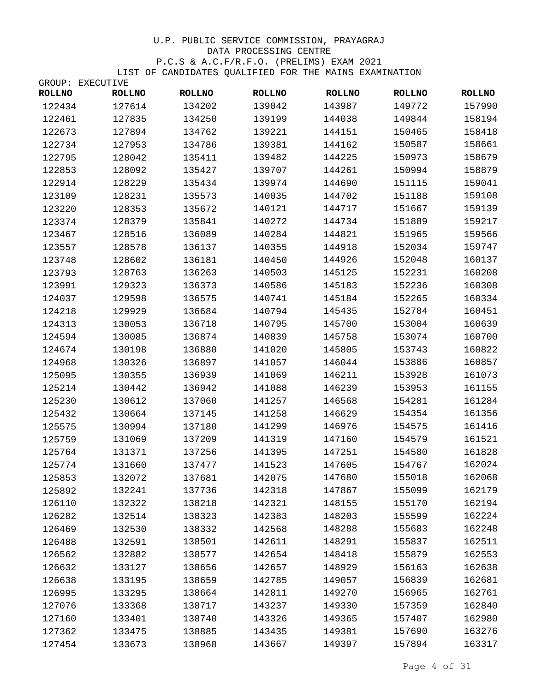|               | GROUP: EXECUTIVE |               |               |               |               |               |
|---------------|------------------|---------------|---------------|---------------|---------------|---------------|
| <b>ROLLNO</b> | <b>ROLLNO</b>    | <b>ROLLNO</b> | <b>ROLLNO</b> | <b>ROLLNO</b> | <b>ROLLNO</b> | <b>ROLLNO</b> |
| 122434        | 127614           | 134202        | 139042        | 143987        | 149772        | 157990        |
| 122461        | 127835           | 134250        | 139199        | 144038        | 149844        | 158194        |
| 122673        | 127894           | 134762        | 139221        | 144151        | 150465        | 158418        |
| 122734        | 127953           | 134786        | 139381        | 144162        | 150587        | 158661        |
| 122795        | 128042           | 135411        | 139482        | 144225        | 150973        | 158679        |
| 122853        | 128092           | 135427        | 139707        | 144261        | 150994        | 158879        |
| 122914        | 128229           | 135434        | 139974        | 144690        | 151115        | 159041        |
| 123109        | 128231           | 135573        | 140035        | 144702        | 151188        | 159108        |
| 123220        | 128353           | 135672        | 140121        | 144717        | 151667        | 159139        |
| 123374        | 128379           | 135841        | 140272        | 144734        | 151889        | 159217        |
| 123467        | 128516           | 136089        | 140284        | 144821        | 151965        | 159566        |
| 123557        | 128578           | 136137        | 140355        | 144918        | 152034        | 159747        |
| 123748        | 128602           | 136181        | 140450        | 144926        | 152048        | 160137        |
| 123793        | 128763           | 136263        | 140503        | 145125        | 152231        | 160208        |
| 123991        | 129323           | 136373        | 140586        | 145183        | 152236        | 160308        |
| 124037        | 129598           | 136575        | 140741        | 145184        | 152265        | 160334        |
| 124218        | 129929           | 136684        | 140794        | 145435        | 152784        | 160451        |
| 124313        | 130053           | 136718        | 140795        | 145700        | 153004        | 160639        |
| 124594        | 130085           | 136874        | 140839        | 145758        | 153074        | 160700        |
| 124674        | 130198           | 136880        | 141020        | 145805        | 153743        | 160822        |
| 124968        | 130326           | 136897        | 141057        | 146044        | 153886        | 160857        |
| 125095        | 130355           | 136939        | 141069        | 146211        | 153928        | 161073        |
| 125214        | 130442           | 136942        | 141088        | 146239        | 153953        | 161155        |
| 125230        | 130612           | 137060        | 141257        | 146568        | 154281        | 161284        |
| 125432        | 130664           | 137145        | 141258        | 146629        | 154354        | 161356        |
| 125575        | 130994           | 137180        | 141299        | 146976        | 154575        | 161416        |
| 125759        | 131069           | 137209        | 141319        | 147160        | 154579        | 161521        |
| 125764        | 131371           | 137256        | 141395        | 147251        | 154580        | 161828        |
| 125774        | 131660           | 137477        | 141523        | 147605        | 154767        | 162024        |
| 125853        | 132072           | 137681        | 142075        | 147680        | 155018        | 162068        |
| 125892        | 132241           | 137736        | 142318        | 147867        | 155099        | 162179        |
| 126110        | 132322           | 138218        | 142321        | 148155        | 155170        | 162194        |
| 126282        | 132514           | 138323        | 142383        | 148203        | 155599        | 162224        |
| 126469        | 132530           | 138332        | 142568        | 148288        | 155683        | 162248        |
| 126488        | 132591           | 138501        | 142611        | 148291        | 155837        | 162511        |
| 126562        | 132882           | 138577        | 142654        | 148418        | 155879        | 162553        |
| 126632        | 133127           | 138656        | 142657        | 148929        | 156163        | 162638        |
| 126638        | 133195           | 138659        | 142785        | 149057        | 156839        | 162681        |
| 126995        | 133295           | 138664        | 142811        | 149270        | 156965        | 162761        |
| 127076        | 133368           | 138717        | 143237        | 149330        | 157359        | 162840        |
| 127160        | 133401           | 138740        | 143326        | 149365        | 157407        | 162980        |
| 127362        | 133475           | 138885        | 143435        | 149381        | 157690        | 163276        |
| 127454        | 133673           | 138968        | 143667        | 149397        | 157894        | 163317        |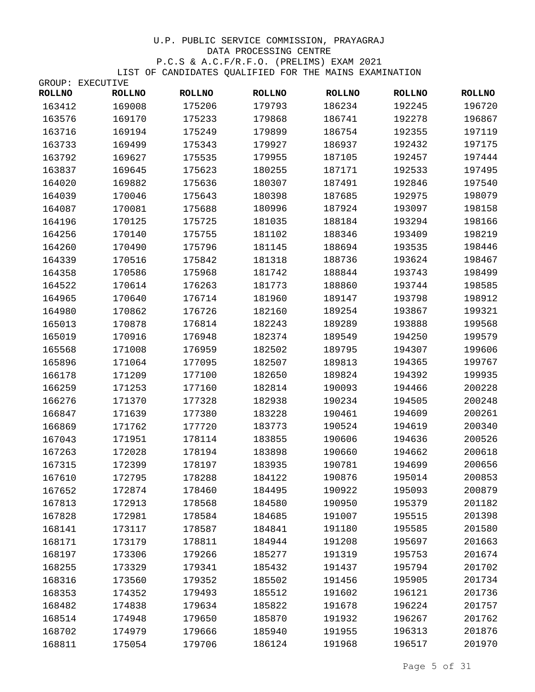|               | GROUP: EXECUTIVE |               |               |               |               |               |
|---------------|------------------|---------------|---------------|---------------|---------------|---------------|
| <b>ROLLNO</b> | <b>ROLLNO</b>    | <b>ROLLNO</b> | <b>ROLLNO</b> | <b>ROLLNO</b> | <b>ROLLNO</b> | <b>ROLLNO</b> |
| 163412        | 169008           | 175206        | 179793        | 186234        | 192245        | 196720        |
| 163576        | 169170           | 175233        | 179868        | 186741        | 192278        | 196867        |
| 163716        | 169194           | 175249        | 179899        | 186754        | 192355        | 197119        |
| 163733        | 169499           | 175343        | 179927        | 186937        | 192432        | 197175        |
| 163792        | 169627           | 175535        | 179955        | 187105        | 192457        | 197444        |
| 163837        | 169645           | 175623        | 180255        | 187171        | 192533        | 197495        |
| 164020        | 169882           | 175636        | 180307        | 187491        | 192846        | 197540        |
| 164039        | 170046           | 175643        | 180398        | 187685        | 192975        | 198079        |
| 164087        | 170081           | 175688        | 180996        | 187924        | 193097        | 198158        |
| 164196        | 170125           | 175725        | 181035        | 188184        | 193294        | 198166        |
| 164256        | 170140           | 175755        | 181102        | 188346        | 193409        | 198219        |
| 164260        | 170490           | 175796        | 181145        | 188694        | 193535        | 198446        |
| 164339        | 170516           | 175842        | 181318        | 188736        | 193624        | 198467        |
| 164358        | 170586           | 175968        | 181742        | 188844        | 193743        | 198499        |
| 164522        | 170614           | 176263        | 181773        | 188860        | 193744        | 198585        |
| 164965        | 170640           | 176714        | 181960        | 189147        | 193798        | 198912        |
| 164980        | 170862           | 176726        | 182160        | 189254        | 193867        | 199321        |
| 165013        | 170878           | 176814        | 182243        | 189289        | 193888        | 199568        |
| 165019        | 170916           | 176948        | 182374        | 189549        | 194250        | 199579        |
| 165568        | 171008           | 176959        | 182502        | 189795        | 194307        | 199606        |
| 165896        | 171064           | 177095        | 182507        | 189813        | 194365        | 199767        |
| 166178        | 171209           | 177100        | 182650        | 189824        | 194392        | 199935        |
| 166259        | 171253           | 177160        | 182814        | 190093        | 194466        | 200228        |
| 166276        | 171370           | 177328        | 182938        | 190234        | 194505        | 200248        |
| 166847        | 171639           | 177380        | 183228        | 190461        | 194609        | 200261        |
| 166869        | 171762           | 177720        | 183773        | 190524        | 194619        | 200340        |
| 167043        | 171951           | 178114        | 183855        | 190606        | 194636        | 200526        |
| 167263        | 172028           | 178194        | 183898        | 190660        | 194662        | 200618        |
| 167315        | 172399           | 178197        | 183935        | 190781        | 194699        | 200656        |
| 167610        | 172795           | 178288        | 184122        | 190876        | 195014        | 200853        |
| 167652        | 172874           | 178460        | 184495        | 190922        | 195093        | 200879        |
| 167813        | 172913           | 178568        | 184580        | 190950        | 195379        | 201182        |
| 167828        | 172981           | 178584        | 184685        | 191007        | 195515        | 201398        |
| 168141        | 173117           | 178587        | 184841        | 191180        | 195585        | 201580        |
| 168171        | 173179           | 178811        | 184944        | 191208        | 195697        | 201663        |
| 168197        | 173306           | 179266        | 185277        | 191319        | 195753        | 201674        |
| 168255        | 173329           | 179341        | 185432        | 191437        | 195794        | 201702        |
| 168316        | 173560           | 179352        | 185502        | 191456        | 195905        | 201734        |
| 168353        | 174352           | 179493        | 185512        | 191602        | 196121        | 201736        |
| 168482        | 174838           | 179634        | 185822        | 191678        | 196224        | 201757        |
| 168514        | 174948           | 179650        | 185870        | 191932        | 196267        | 201762        |
| 168702        | 174979           | 179666        | 185940        | 191955        | 196313        | 201876        |
| 168811        | 175054           | 179706        | 186124        | 191968        | 196517        | 201970        |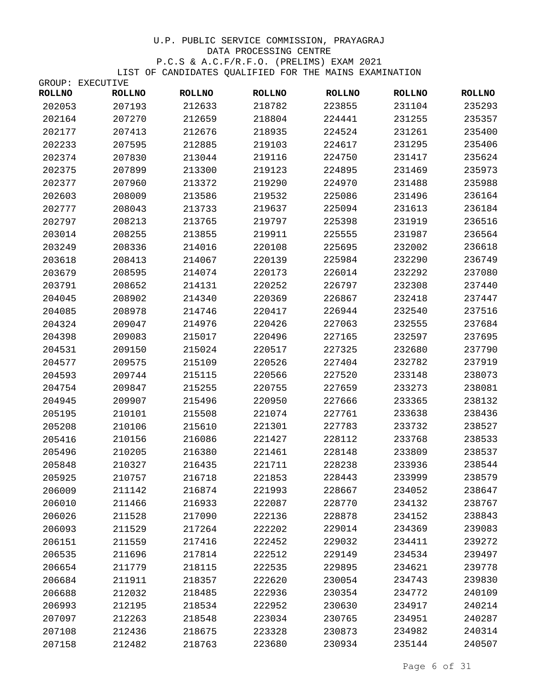|               | GROUP: EXECUTIVE |               |               |               |               |               |
|---------------|------------------|---------------|---------------|---------------|---------------|---------------|
| <b>ROLLNO</b> | <b>ROLLNO</b>    | <b>ROLLNO</b> | <b>ROLLNO</b> | <b>ROLLNO</b> | <b>ROLLNO</b> | <b>ROLLNO</b> |
| 202053        | 207193           | 212633        | 218782        | 223855        | 231104        | 235293        |
| 202164        | 207270           | 212659        | 218804        | 224441        | 231255        | 235357        |
| 202177        | 207413           | 212676        | 218935        | 224524        | 231261        | 235400        |
| 202233        | 207595           | 212885        | 219103        | 224617        | 231295        | 235406        |
| 202374        | 207830           | 213044        | 219116        | 224750        | 231417        | 235624        |
| 202375        | 207899           | 213300        | 219123        | 224895        | 231469        | 235973        |
| 202377        | 207960           | 213372        | 219290        | 224970        | 231488        | 235988        |
| 202603        | 208009           | 213586        | 219532        | 225086        | 231496        | 236164        |
| 202777        | 208043           | 213733        | 219637        | 225094        | 231613        | 236184        |
| 202797        | 208213           | 213765        | 219797        | 225398        | 231919        | 236516        |
| 203014        | 208255           | 213855        | 219911        | 225555        | 231987        | 236564        |
| 203249        | 208336           | 214016        | 220108        | 225695        | 232002        | 236618        |
| 203618        | 208413           | 214067        | 220139        | 225984        | 232290        | 236749        |
| 203679        | 208595           | 214074        | 220173        | 226014        | 232292        | 237080        |
| 203791        | 208652           | 214131        | 220252        | 226797        | 232308        | 237440        |
| 204045        | 208902           | 214340        | 220369        | 226867        | 232418        | 237447        |
| 204085        | 208978           | 214746        | 220417        | 226944        | 232540        | 237516        |
| 204324        | 209047           | 214976        | 220426        | 227063        | 232555        | 237684        |
| 204398        | 209083           | 215017        | 220496        | 227165        | 232597        | 237695        |
| 204531        | 209150           | 215024        | 220517        | 227325        | 232680        | 237790        |
| 204577        | 209575           | 215109        | 220526        | 227404        | 232782        | 237919        |
| 204593        | 209744           | 215115        | 220566        | 227520        | 233148        | 238073        |
| 204754        | 209847           | 215255        | 220755        | 227659        | 233273        | 238081        |
| 204945        | 209907           | 215496        | 220950        | 227666        | 233365        | 238132        |
| 205195        | 210101           | 215508        | 221074        | 227761        | 233638        | 238436        |
| 205208        | 210106           | 215610        | 221301        | 227783        | 233732        | 238527        |
| 205416        | 210156           | 216086        | 221427        | 228112        | 233768        | 238533        |
| 205496        | 210205           | 216380        | 221461        | 228148        | 233809        | 238537        |
| 205848        | 210327           | 216435        | 221711        | 228238        | 233936        | 238544        |
| 205925        | 210757           | 216718        | 221853        | 228443        | 233999        | 238579        |
| 206009        | 211142           | 216874        | 221993        | 228667        | 234052        | 238647        |
| 206010        | 211466           | 216933        | 222087        | 228770        | 234132        | 238767        |
| 206026        | 211528           | 217090        | 222136        | 228878        | 234152        | 238843        |
| 206093        | 211529           | 217264        | 222202        | 229014        | 234369        | 239083        |
| 206151        | 211559           | 217416        | 222452        | 229032        | 234411        | 239272        |
| 206535        | 211696           | 217814        | 222512        | 229149        | 234534        | 239497        |
| 206654        | 211779           | 218115        | 222535        | 229895        | 234621        | 239778        |
| 206684        | 211911           | 218357        | 222620        | 230054        | 234743        | 239830        |
| 206688        | 212032           | 218485        | 222936        | 230354        | 234772        | 240109        |
| 206993        | 212195           | 218534        | 222952        | 230630        | 234917        | 240214        |
| 207097        | 212263           | 218548        | 223034        | 230765        | 234951        | 240287        |
| 207108        | 212436           | 218675        | 223328        | 230873        | 234982        | 240314        |
| 207158        | 212482           | 218763        | 223680        | 230934        | 235144        | 240507        |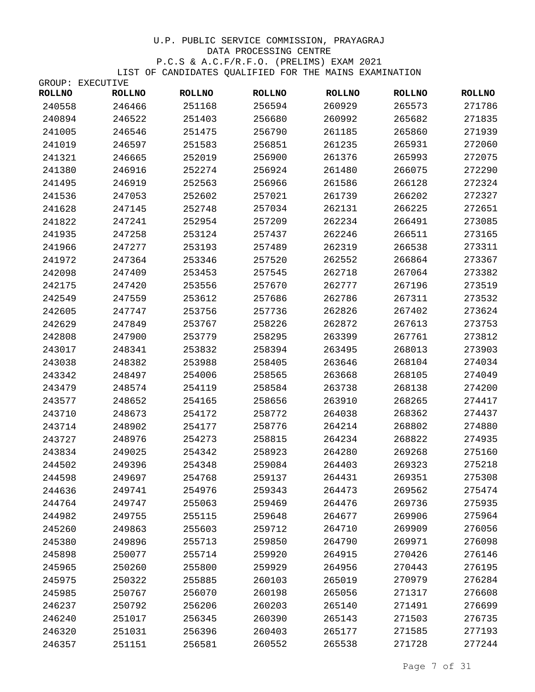|               | GROUP: EXECUTIVE |               |               |               |               |               |
|---------------|------------------|---------------|---------------|---------------|---------------|---------------|
| <b>ROLLNO</b> | <b>ROLLNO</b>    | <b>ROLLNO</b> | <b>ROLLNO</b> | <b>ROLLNO</b> | <b>ROLLNO</b> | <b>ROLLNO</b> |
| 240558        | 246466           | 251168        | 256594        | 260929        | 265573        | 271786        |
| 240894        | 246522           | 251403        | 256680        | 260992        | 265682        | 271835        |
| 241005        | 246546           | 251475        | 256790        | 261185        | 265860        | 271939        |
| 241019        | 246597           | 251583        | 256851        | 261235        | 265931        | 272060        |
| 241321        | 246665           | 252019        | 256900        | 261376        | 265993        | 272075        |
| 241380        | 246916           | 252274        | 256924        | 261480        | 266075        | 272290        |
| 241495        | 246919           | 252563        | 256966        | 261586        | 266128        | 272324        |
| 241536        | 247053           | 252602        | 257021        | 261739        | 266202        | 272327        |
| 241628        | 247145           | 252748        | 257034        | 262131        | 266225        | 272651        |
| 241822        | 247241           | 252954        | 257209        | 262234        | 266491        | 273085        |
| 241935        | 247258           | 253124        | 257437        | 262246        | 266511        | 273165        |
| 241966        | 247277           | 253193        | 257489        | 262319        | 266538        | 273311        |
| 241972        | 247364           | 253346        | 257520        | 262552        | 266864        | 273367        |
| 242098        | 247409           | 253453        | 257545        | 262718        | 267064        | 273382        |
| 242175        | 247420           | 253556        | 257670        | 262777        | 267196        | 273519        |
| 242549        | 247559           | 253612        | 257686        | 262786        | 267311        | 273532        |
| 242605        | 247747           | 253756        | 257736        | 262826        | 267402        | 273624        |
| 242629        | 247849           | 253767        | 258226        | 262872        | 267613        | 273753        |
| 242808        | 247900           | 253779        | 258295        | 263399        | 267761        | 273812        |
| 243017        | 248341           | 253832        | 258394        | 263495        | 268013        | 273903        |
| 243038        | 248382           | 253988        | 258405        | 263646        | 268104        | 274034        |
| 243342        | 248497           | 254006        | 258565        | 263668        | 268105        | 274049        |
| 243479        | 248574           | 254119        | 258584        | 263738        | 268138        | 274200        |
| 243577        | 248652           | 254165        | 258656        | 263910        | 268265        | 274417        |
| 243710        | 248673           | 254172        | 258772        | 264038        | 268362        | 274437        |
| 243714        | 248902           | 254177        | 258776        | 264214        | 268802        | 274880        |
| 243727        | 248976           | 254273        | 258815        | 264234        | 268822        | 274935        |
| 243834        | 249025           | 254342        | 258923        | 264280        | 269268        | 275160        |
| 244502        | 249396           | 254348        | 259084        | 264403        | 269323        | 275218        |
| 244598        | 249697           | 254768        | 259137        | 264431        | 269351        | 275308        |
| 244636        | 249741           | 254976        | 259343        | 264473        | 269562        | 275474        |
| 244764        | 249747           | 255063        | 259469        | 264476        | 269736        | 275935        |
| 244982        | 249755           | 255115        | 259648        | 264677        | 269906        | 275964        |
| 245260        | 249863           | 255603        | 259712        | 264710        | 269909        | 276056        |
| 245380        | 249896           | 255713        | 259850        | 264790        | 269971        | 276098        |
| 245898        | 250077           | 255714        | 259920        | 264915        | 270426        | 276146        |
| 245965        | 250260           | 255800        | 259929        | 264956        | 270443        | 276195        |
| 245975        | 250322           | 255885        | 260103        | 265019        | 270979        | 276284        |
| 245985        | 250767           | 256070        | 260198        | 265056        | 271317        | 276608        |
| 246237        | 250792           | 256206        | 260203        | 265140        | 271491        | 276699        |
| 246240        | 251017           | 256345        | 260390        | 265143        | 271503        | 276735        |
| 246320        | 251031           | 256396        | 260403        | 265177        | 271585        | 277193        |
| 246357        | 251151           | 256581        | 260552        | 265538        | 271728        | 277244        |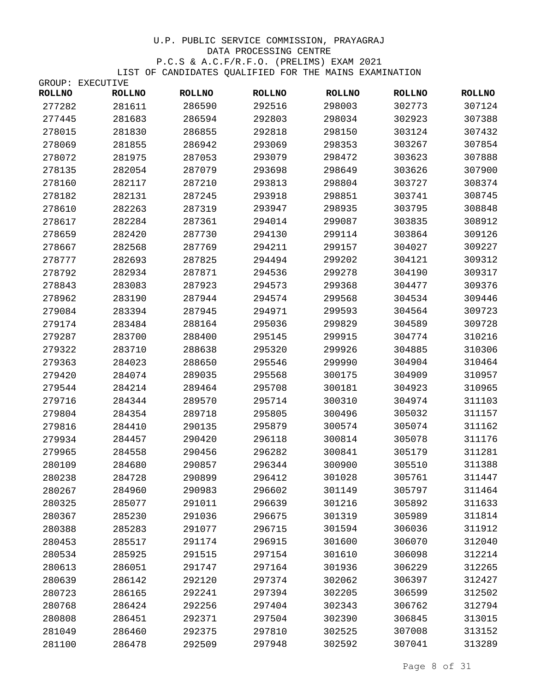|               | GROUP: EXECUTIVE |               |               |               |               |               |
|---------------|------------------|---------------|---------------|---------------|---------------|---------------|
| <b>ROLLNO</b> | <b>ROLLNO</b>    | <b>ROLLNO</b> | <b>ROLLNO</b> | <b>ROLLNO</b> | <b>ROLLNO</b> | <b>ROLLNO</b> |
| 277282        | 281611           | 286590        | 292516        | 298003        | 302773        | 307124        |
| 277445        | 281683           | 286594        | 292803        | 298034        | 302923        | 307388        |
| 278015        | 281830           | 286855        | 292818        | 298150        | 303124        | 307432        |
| 278069        | 281855           | 286942        | 293069        | 298353        | 303267        | 307854        |
| 278072        | 281975           | 287053        | 293079        | 298472        | 303623        | 307888        |
| 278135        | 282054           | 287079        | 293698        | 298649        | 303626        | 307900        |
| 278160        | 282117           | 287210        | 293813        | 298804        | 303727        | 308374        |
| 278182        | 282131           | 287245        | 293918        | 298851        | 303741        | 308745        |
| 278610        | 282263           | 287319        | 293947        | 298935        | 303795        | 308848        |
| 278617        | 282284           | 287361        | 294014        | 299087        | 303835        | 308912        |
| 278659        | 282420           | 287730        | 294130        | 299114        | 303864        | 309126        |
| 278667        | 282568           | 287769        | 294211        | 299157        | 304027        | 309227        |
| 278777        | 282693           | 287825        | 294494        | 299202        | 304121        | 309312        |
| 278792        | 282934           | 287871        | 294536        | 299278        | 304190        | 309317        |
| 278843        | 283083           | 287923        | 294573        | 299368        | 304477        | 309376        |
| 278962        | 283190           | 287944        | 294574        | 299568        | 304534        | 309446        |
| 279084        | 283394           | 287945        | 294971        | 299593        | 304564        | 309723        |
| 279174        | 283484           | 288164        | 295036        | 299829        | 304589        | 309728        |
| 279287        | 283700           | 288400        | 295145        | 299915        | 304774        | 310216        |
| 279322        | 283710           | 288638        | 295320        | 299926        | 304885        | 310306        |
| 279363        | 284023           | 288650        | 295546        | 299990        | 304904        | 310464        |
| 279420        | 284074           | 289035        | 295568        | 300175        | 304909        | 310957        |
| 279544        | 284214           | 289464        | 295708        | 300181        | 304923        | 310965        |
| 279716        | 284344           | 289570        | 295714        | 300310        | 304974        | 311103        |
| 279804        | 284354           | 289718        | 295805        | 300496        | 305032        | 311157        |
| 279816        | 284410           | 290135        | 295879        | 300574        | 305074        | 311162        |
| 279934        | 284457           | 290420        | 296118        | 300814        | 305078        | 311176        |
| 279965        | 284558           | 290456        | 296282        | 300841        | 305179        | 311281        |
| 280109        | 284680           | 290857        | 296344        | 300900        | 305510        | 311388        |
| 280238        | 284728           | 290899        | 296412        | 301028        | 305761        | 311447        |
| 280267        | 284960           | 290983        | 296602        | 301149        | 305797        | 311464        |
| 280325        | 285077           | 291011        | 296639        | 301216        | 305892        | 311633        |
| 280367        | 285230           | 291036        | 296675        | 301319        | 305989        | 311814        |
| 280388        | 285283           | 291077        | 296715        | 301594        | 306036        | 311912        |
| 280453        | 285517           | 291174        | 296915        | 301600        | 306070        | 312040        |
| 280534        | 285925           | 291515        | 297154        | 301610        | 306098        | 312214        |
| 280613        | 286051           | 291747        | 297164        | 301936        | 306229        | 312265        |
| 280639        | 286142           | 292120        | 297374        | 302062        | 306397        | 312427        |
| 280723        | 286165           | 292241        | 297394        | 302205        | 306599        | 312502        |
| 280768        | 286424           | 292256        | 297404        | 302343        | 306762        | 312794        |
| 280808        | 286451           | 292371        | 297504        | 302390        | 306845        | 313015        |
| 281049        | 286460           | 292375        | 297810        | 302525        | 307008        | 313152        |
| 281100        | 286478           | 292509        | 297948        | 302592        | 307041        | 313289        |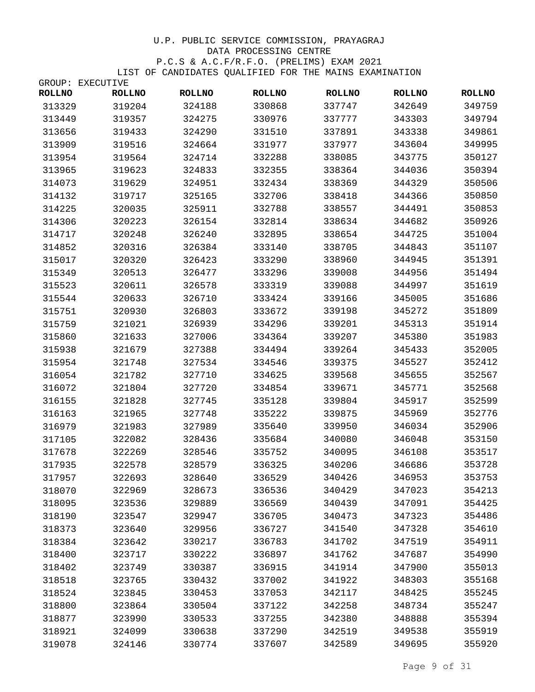|               | GROUP: EXECUTIVE |               |               |               |               |               |
|---------------|------------------|---------------|---------------|---------------|---------------|---------------|
| <b>ROLLNO</b> | <b>ROLLNO</b>    | <b>ROLLNO</b> | <b>ROLLNO</b> | <b>ROLLNO</b> | <b>ROLLNO</b> | <b>ROLLNO</b> |
| 313329        | 319204           | 324188        | 330868        | 337747        | 342649        | 349759        |
| 313449        | 319357           | 324275        | 330976        | 337777        | 343303        | 349794        |
| 313656        | 319433           | 324290        | 331510        | 337891        | 343338        | 349861        |
| 313909        | 319516           | 324664        | 331977        | 337977        | 343604        | 349995        |
| 313954        | 319564           | 324714        | 332288        | 338085        | 343775        | 350127        |
| 313965        | 319623           | 324833        | 332355        | 338364        | 344036        | 350394        |
| 314073        | 319629           | 324951        | 332434        | 338369        | 344329        | 350506        |
| 314132        | 319717           | 325165        | 332706        | 338418        | 344366        | 350850        |
| 314225        | 320035           | 325911        | 332788        | 338557        | 344491        | 350853        |
| 314306        | 320223           | 326154        | 332814        | 338634        | 344682        | 350926        |
| 314717        | 320248           | 326240        | 332895        | 338654        | 344725        | 351004        |
| 314852        | 320316           | 326384        | 333140        | 338705        | 344843        | 351107        |
| 315017        | 320320           | 326423        | 333290        | 338960        | 344945        | 351391        |
| 315349        | 320513           | 326477        | 333296        | 339008        | 344956        | 351494        |
| 315523        | 320611           | 326578        | 333319        | 339088        | 344997        | 351619        |
| 315544        | 320633           | 326710        | 333424        | 339166        | 345005        | 351686        |
| 315751        | 320930           | 326803        | 333672        | 339198        | 345272        | 351809        |
| 315759        | 321021           | 326939        | 334296        | 339201        | 345313        | 351914        |
| 315860        | 321633           | 327006        | 334364        | 339207        | 345380        | 351983        |
| 315938        | 321679           | 327388        | 334494        | 339264        | 345433        | 352005        |
| 315954        | 321748           | 327534        | 334546        | 339375        | 345527        | 352412        |
| 316054        | 321782           | 327710        | 334625        | 339568        | 345655        | 352567        |
| 316072        | 321804           | 327720        | 334854        | 339671        | 345771        | 352568        |
| 316155        | 321828           | 327745        | 335128        | 339804        | 345917        | 352599        |
| 316163        | 321965           | 327748        | 335222        | 339875        | 345969        | 352776        |
| 316979        | 321983           | 327989        | 335640        | 339950        | 346034        | 352906        |
| 317105        | 322082           | 328436        | 335684        | 340080        | 346048        | 353150        |
| 317678        | 322269           | 328546        | 335752        | 340095        | 346108        | 353517        |
| 317935        | 322578           | 328579        | 336325        | 340206        | 346686        | 353728        |
| 317957        | 322693           | 328640        | 336529        | 340426        | 346953        | 353753        |
| 318070        | 322969           | 328673        | 336536        | 340429        | 347023        | 354213        |
| 318095        | 323536           | 329889        | 336569        | 340439        | 347091        | 354425        |
| 318190        | 323547           | 329947        | 336705        | 340473        | 347323        | 354486        |
| 318373        | 323640           | 329956        | 336727        | 341540        | 347328        | 354610        |
| 318384        | 323642           | 330217        | 336783        | 341702        | 347519        | 354911        |
| 318400        | 323717           | 330222        | 336897        | 341762        | 347687        | 354990        |
| 318402        | 323749           | 330387        | 336915        | 341914        | 347900        | 355013        |
| 318518        | 323765           | 330432        | 337002        | 341922        | 348303        | 355168        |
| 318524        | 323845           | 330453        | 337053        | 342117        | 348425        | 355245        |
| 318800        | 323864           | 330504        | 337122        | 342258        | 348734        | 355247        |
| 318877        | 323990           | 330533        | 337255        | 342380        | 348888        | 355394        |
| 318921        | 324099           | 330638        | 337290        | 342519        | 349538        | 355919        |
| 319078        | 324146           | 330774        | 337607        | 342589        | 349695        | 355920        |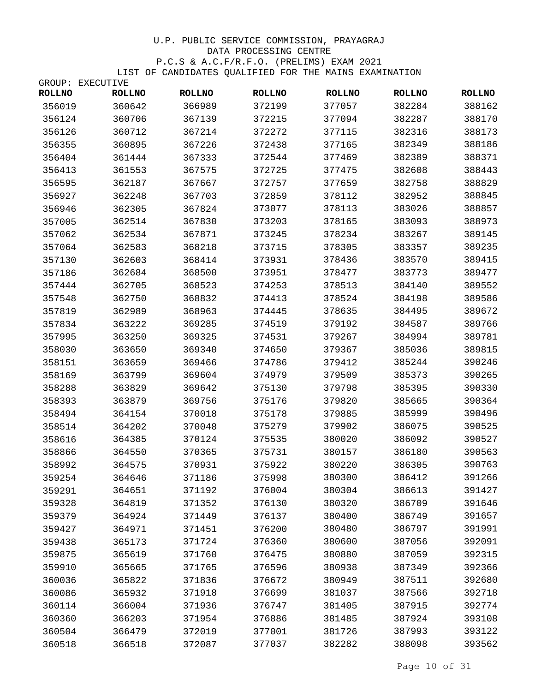|               | GROUP: EXECUTIVE |               |               |               |               |               |
|---------------|------------------|---------------|---------------|---------------|---------------|---------------|
| <b>ROLLNO</b> | <b>ROLLNO</b>    | <b>ROLLNO</b> | <b>ROLLNO</b> | <b>ROLLNO</b> | <b>ROLLNO</b> | <b>ROLLNO</b> |
| 356019        | 360642           | 366989        | 372199        | 377057        | 382284        | 388162        |
| 356124        | 360706           | 367139        | 372215        | 377094        | 382287        | 388170        |
| 356126        | 360712           | 367214        | 372272        | 377115        | 382316        | 388173        |
| 356355        | 360895           | 367226        | 372438        | 377165        | 382349        | 388186        |
| 356404        | 361444           | 367333        | 372544        | 377469        | 382389        | 388371        |
| 356413        | 361553           | 367575        | 372725        | 377475        | 382608        | 388443        |
| 356595        | 362187           | 367667        | 372757        | 377659        | 382758        | 388829        |
| 356927        | 362248           | 367703        | 372859        | 378112        | 382952        | 388845        |
| 356946        | 362305           | 367824        | 373077        | 378113        | 383026        | 388857        |
| 357005        | 362514           | 367830        | 373203        | 378165        | 383093        | 388973        |
| 357062        | 362534           | 367871        | 373245        | 378234        | 383267        | 389145        |
| 357064        | 362583           | 368218        | 373715        | 378305        | 383357        | 389235        |
| 357130        | 362603           | 368414        | 373931        | 378436        | 383570        | 389415        |
| 357186        | 362684           | 368500        | 373951        | 378477        | 383773        | 389477        |
| 357444        | 362705           | 368523        | 374253        | 378513        | 384140        | 389552        |
| 357548        | 362750           | 368832        | 374413        | 378524        | 384198        | 389586        |
| 357819        | 362989           | 368963        | 374445        | 378635        | 384495        | 389672        |
| 357834        | 363222           | 369285        | 374519        | 379192        | 384587        | 389766        |
| 357995        | 363250           | 369325        | 374531        | 379267        | 384994        | 389781        |
| 358030        | 363650           | 369340        | 374650        | 379367        | 385036        | 389815        |
| 358151        | 363659           | 369466        | 374786        | 379412        | 385244        | 390246        |
| 358169        | 363799           | 369604        | 374979        | 379509        | 385373        | 390265        |
| 358288        | 363829           | 369642        | 375130        | 379798        | 385395        | 390330        |
| 358393        | 363879           | 369756        | 375176        | 379820        | 385665        | 390364        |
| 358494        | 364154           | 370018        | 375178        | 379885        | 385999        | 390496        |
| 358514        | 364202           | 370048        | 375279        | 379902        | 386075        | 390525        |
| 358616        | 364385           | 370124        | 375535        | 380020        | 386092        | 390527        |
| 358866        | 364550           | 370365        | 375731        | 380157        | 386180        | 390563        |
| 358992        | 364575           | 370931        | 375922        | 380220        | 386305        | 390763        |
| 359254        | 364646           | 371186        | 375998        | 380300        | 386412        | 391266        |
| 359291        | 364651           | 371192        | 376004        | 380304        | 386613        | 391427        |
| 359328        | 364819           | 371352        | 376130        | 380320        | 386709        | 391646        |
| 359379        | 364924           | 371449        | 376137        | 380400        | 386749        | 391657        |
| 359427        | 364971           | 371451        | 376200        | 380480        | 386797        | 391991        |
| 359438        | 365173           | 371724        | 376360        | 380600        | 387056        | 392091        |
| 359875        | 365619           | 371760        | 376475        | 380880        | 387059        | 392315        |
| 359910        | 365665           | 371765        | 376596        | 380938        | 387349        | 392366        |
| 360036        | 365822           | 371836        | 376672        | 380949        | 387511        | 392680        |
| 360086        | 365932           | 371918        | 376699        | 381037        | 387566        | 392718        |
| 360114        | 366004           | 371936        | 376747        | 381405        | 387915        | 392774        |
| 360360        | 366203           | 371954        | 376886        | 381485        | 387924        | 393108        |
| 360504        | 366479           | 372019        | 377001        | 381726        | 387993        | 393122        |
| 360518        | 366518           | 372087        | 377037        | 382282        | 388098        | 393562        |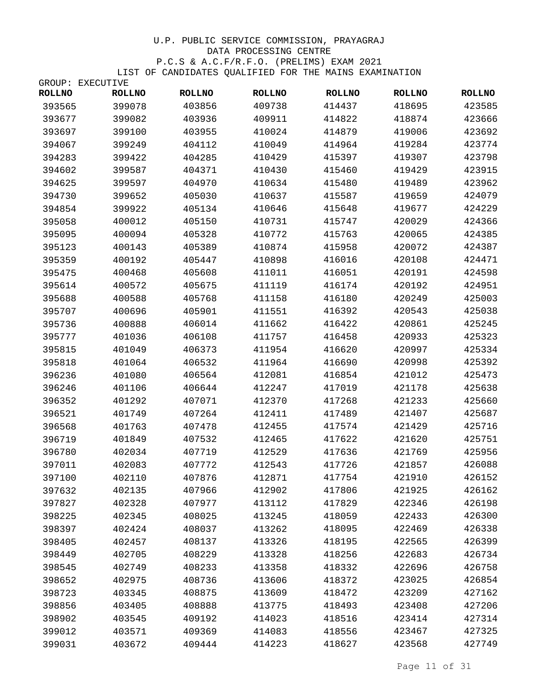GROUP: EXECUTIVE

| <b>ROLLNO</b> | <b>ROLLNO</b> | <b>ROLLNO</b> | <b>ROLLNO</b> | <b>ROLLNO</b> | <b>ROLLNO</b> | <b>ROLLNO</b> |
|---------------|---------------|---------------|---------------|---------------|---------------|---------------|
| 393565        | 399078        | 403856        | 409738        | 414437        | 418695        | 423585        |
| 393677        | 399082        | 403936        | 409911        | 414822        | 418874        | 423666        |
| 393697        | 399100        | 403955        | 410024        | 414879        | 419006        | 423692        |
| 394067        | 399249        | 404112        | 410049        | 414964        | 419284        | 423774        |
| 394283        | 399422        | 404285        | 410429        | 415397        | 419307        | 423798        |
| 394602        | 399587        | 404371        | 410430        | 415460        | 419429        | 423915        |
| 394625        | 399597        | 404970        | 410634        | 415480        | 419489        | 423962        |
| 394730        | 399652        | 405030        | 410637        | 415587        | 419659        | 424079        |
| 394854        | 399922        | 405134        | 410646        | 415648        | 419677        | 424229        |
| 395058        | 400012        | 405150        | 410731        | 415747        | 420029        | 424366        |
| 395095        | 400094        | 405328        | 410772        | 415763        | 420065        | 424385        |
| 395123        | 400143        | 405389        | 410874        | 415958        | 420072        | 424387        |
| 395359        | 400192        | 405447        | 410898        | 416016        | 420108        | 424471        |
| 395475        | 400468        | 405608        | 411011        | 416051        | 420191        | 424598        |
| 395614        | 400572        | 405675        | 411119        | 416174        | 420192        | 424951        |
| 395688        | 400588        | 405768        | 411158        | 416180        | 420249        | 425003        |
| 395707        | 400696        | 405901        | 411551        | 416392        | 420543        | 425038        |
| 395736        | 400888        | 406014        | 411662        | 416422        | 420861        | 425245        |
| 395777        | 401036        | 406108        | 411757        | 416458        | 420933        | 425323        |
| 395815        | 401049        | 406373        | 411954        | 416620        | 420997        | 425334        |
| 395818        | 401064        | 406532        | 411964        | 416690        | 420998        | 425392        |
| 396236        | 401080        | 406564        | 412081        | 416854        | 421012        | 425473        |
| 396246        | 401106        | 406644        | 412247        | 417019        | 421178        | 425638        |
| 396352        | 401292        | 407071        | 412370        | 417268        | 421233        | 425660        |
| 396521        | 401749        | 407264        | 412411        | 417489        | 421407        | 425687        |
| 396568        | 401763        | 407478        | 412455        | 417574        | 421429        | 425716        |
| 396719        | 401849        | 407532        | 412465        | 417622        | 421620        | 425751        |
| 396780        | 402034        | 407719        | 412529        | 417636        | 421769        | 425956        |
| 397011        | 402083        | 407772        | 412543        | 417726        | 421857        | 426088        |
| 397100        | 402110        | 407876        | 412871        | 417754        | 421910        | 426152        |
| 397632        | 402135        | 407966        | 412902        | 417806        | 421925        | 426162        |
| 397827        | 402328        | 407977        | 413112        | 417829        | 422346        | 426198        |
| 398225        | 402345        | 408025        | 413245        | 418059        | 422433        | 426300        |
| 398397        | 402424        | 408037        | 413262        | 418095        | 422469        | 426338        |
| 398405        | 402457        | 408137        | 413326        | 418195        | 422565        | 426399        |
| 398449        | 402705        | 408229        | 413328        | 418256        | 422683        | 426734        |
| 398545        | 402749        | 408233        | 413358        | 418332        | 422696        | 426758        |
| 398652        | 402975        | 408736        | 413606        | 418372        | 423025        | 426854        |
| 398723        | 403345        | 408875        | 413609        | 418472        | 423209        | 427162        |
| 398856        | 403405        | 408888        | 413775        | 418493        | 423408        | 427206        |
| 398902        | 403545        | 409192        | 414023        | 418516        | 423414        | 427314        |
| 399012        | 403571        | 409369        | 414083        | 418556        | 423467        | 427325        |
| 399031        | 403672        | 409444        | 414223        | 418627        | 423568        | 427749        |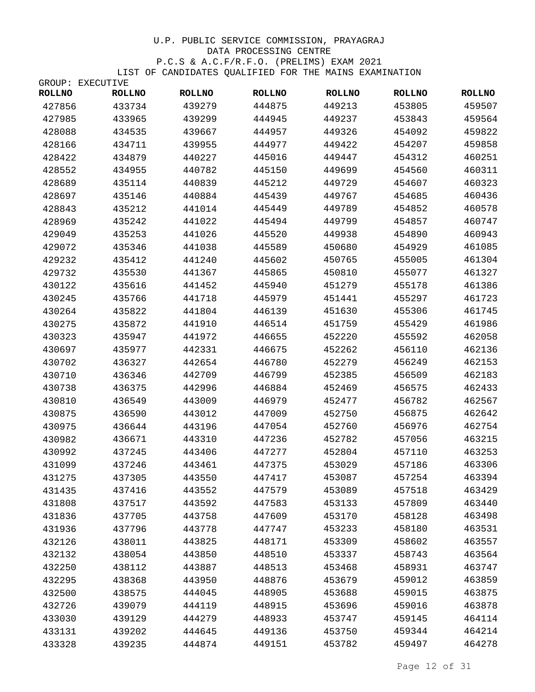|               | GROUP: EXECUTIVE |               |               |               |               |               |
|---------------|------------------|---------------|---------------|---------------|---------------|---------------|
| <b>ROLLNO</b> | <b>ROLLNO</b>    | <b>ROLLNO</b> | <b>ROLLNO</b> | <b>ROLLNO</b> | <b>ROLLNO</b> | <b>ROLLNO</b> |
| 427856        | 433734           | 439279        | 444875        | 449213        | 453805        | 459507        |
| 427985        | 433965           | 439299        | 444945        | 449237        | 453843        | 459564        |
| 428088        | 434535           | 439667        | 444957        | 449326        | 454092        | 459822        |
| 428166        | 434711           | 439955        | 444977        | 449422        | 454207        | 459858        |
| 428422        | 434879           | 440227        | 445016        | 449447        | 454312        | 460251        |
| 428552        | 434955           | 440782        | 445150        | 449699        | 454560        | 460311        |
| 428689        | 435114           | 440839        | 445212        | 449729        | 454607        | 460323        |
| 428697        | 435146           | 440884        | 445439        | 449767        | 454685        | 460436        |
| 428843        | 435212           | 441014        | 445449        | 449789        | 454852        | 460578        |
| 428969        | 435242           | 441022        | 445494        | 449799        | 454857        | 460747        |
| 429049        | 435253           | 441026        | 445520        | 449938        | 454890        | 460943        |
| 429072        | 435346           | 441038        | 445589        | 450680        | 454929        | 461085        |
| 429232        | 435412           | 441240        | 445602        | 450765        | 455005        | 461304        |
| 429732        | 435530           | 441367        | 445865        | 450810        | 455077        | 461327        |
| 430122        | 435616           | 441452        | 445940        | 451279        | 455178        | 461386        |
| 430245        | 435766           | 441718        | 445979        | 451441        | 455297        | 461723        |
| 430264        | 435822           | 441804        | 446139        | 451630        | 455306        | 461745        |
| 430275        | 435872           | 441910        | 446514        | 451759        | 455429        | 461986        |
| 430323        | 435947           | 441972        | 446655        | 452220        | 455592        | 462058        |
| 430697        | 435977           | 442331        | 446675        | 452262        | 456110        | 462136        |
| 430702        | 436327           | 442654        | 446780        | 452279        | 456249        | 462153        |
| 430710        | 436346           | 442709        | 446799        | 452385        | 456509        | 462183        |
| 430738        | 436375           | 442996        | 446884        | 452469        | 456575        | 462433        |
| 430810        | 436549           | 443009        | 446979        | 452477        | 456782        | 462567        |
| 430875        | 436590           | 443012        | 447009        | 452750        | 456875        | 462642        |
| 430975        | 436644           | 443196        | 447054        | 452760        | 456976        | 462754        |
| 430982        | 436671           | 443310        | 447236        | 452782        | 457056        | 463215        |
| 430992        | 437245           | 443406        | 447277        | 452804        | 457110        | 463253        |
| 431099        | 437246           | 443461        | 447375        | 453029        | 457186        | 463306        |
| 431275        | 437305           | 443550        | 447417        | 453087        | 457254        | 463394        |
| 431435        | 437416           | 443552        | 447579        | 453089        | 457518        | 463429        |
| 431808        | 437517           | 443592        | 447583        | 453133        | 457809        | 463440        |
| 431836        | 437705           | 443758        | 447609        | 453170        | 458128        | 463498        |
| 431936        | 437796           | 443778        | 447747        | 453233        | 458180        | 463531        |
| 432126        | 438011           | 443825        | 448171        | 453309        | 458602        | 463557        |
| 432132        | 438054           | 443850        | 448510        | 453337        | 458743        | 463564        |
| 432250        | 438112           | 443887        | 448513        | 453468        | 458931        | 463747        |
| 432295        | 438368           | 443950        | 448876        | 453679        | 459012        | 463859        |
| 432500        | 438575           | 444045        | 448905        | 453688        | 459015        | 463875        |
| 432726        | 439079           | 444119        | 448915        | 453696        | 459016        | 463878        |
| 433030        | 439129           | 444279        | 448933        | 453747        | 459145        | 464114        |
| 433131        | 439202           | 444645        | 449136        | 453750        | 459344        | 464214        |
| 433328        | 439235           | 444874        | 449151        | 453782        | 459497        | 464278        |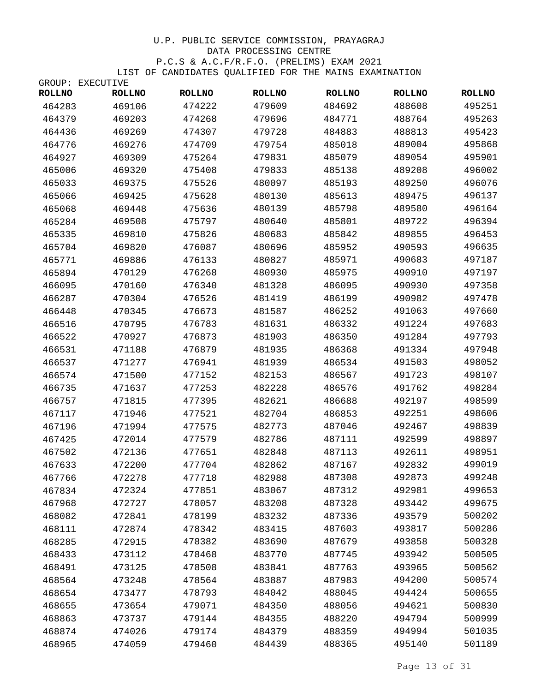|               | GROUP: EXECUTIVE |               |               |               |               |               |
|---------------|------------------|---------------|---------------|---------------|---------------|---------------|
| <b>ROLLNO</b> | <b>ROLLNO</b>    | <b>ROLLNO</b> | <b>ROLLNO</b> | <b>ROLLNO</b> | <b>ROLLNO</b> | <b>ROLLNO</b> |
| 464283        | 469106           | 474222        | 479609        | 484692        | 488608        | 495251        |
| 464379        | 469203           | 474268        | 479696        | 484771        | 488764        | 495263        |
| 464436        | 469269           | 474307        | 479728        | 484883        | 488813        | 495423        |
| 464776        | 469276           | 474709        | 479754        | 485018        | 489004        | 495868        |
| 464927        | 469309           | 475264        | 479831        | 485079        | 489054        | 495901        |
| 465006        | 469320           | 475408        | 479833        | 485138        | 489208        | 496002        |
| 465033        | 469375           | 475526        | 480097        | 485193        | 489250        | 496076        |
| 465066        | 469425           | 475628        | 480130        | 485613        | 489475        | 496137        |
| 465068        | 469448           | 475636        | 480139        | 485798        | 489580        | 496164        |
| 465284        | 469508           | 475797        | 480640        | 485801        | 489722        | 496394        |
| 465335        | 469810           | 475826        | 480683        | 485842        | 489855        | 496453        |
| 465704        | 469820           | 476087        | 480696        | 485952        | 490593        | 496635        |
| 465771        | 469886           | 476133        | 480827        | 485971        | 490683        | 497187        |
| 465894        | 470129           | 476268        | 480930        | 485975        | 490910        | 497197        |
| 466095        | 470160           | 476340        | 481328        | 486095        | 490930        | 497358        |
| 466287        | 470304           | 476526        | 481419        | 486199        | 490982        | 497478        |
| 466448        | 470345           | 476673        | 481587        | 486252        | 491063        | 497660        |
| 466516        | 470795           | 476783        | 481631        | 486332        | 491224        | 497683        |
| 466522        | 470927           | 476873        | 481903        | 486350        | 491284        | 497793        |
| 466531        | 471188           | 476879        | 481935        | 486368        | 491334        | 497948        |
| 466537        | 471277           | 476941        | 481939        | 486534        | 491503        | 498052        |
| 466574        | 471500           | 477152        | 482153        | 486567        | 491723        | 498107        |
| 466735        | 471637           | 477253        | 482228        | 486576        | 491762        | 498284        |
| 466757        | 471815           | 477395        | 482621        | 486688        | 492197        | 498599        |
| 467117        | 471946           | 477521        | 482704        | 486853        | 492251        | 498606        |
| 467196        | 471994           | 477575        | 482773        | 487046        | 492467        | 498839        |
| 467425        | 472014           | 477579        | 482786        | 487111        | 492599        | 498897        |
| 467502        | 472136           | 477651        | 482848        | 487113        | 492611        | 498951        |
| 467633        | 472200           | 477704        | 482862        | 487167        | 492832        | 499019        |
| 467766        | 472278           | 477718        | 482988        | 487308        | 492873        | 499248        |
| 467834        | 472324           | 477851        | 483067        | 487312        | 492981        | 499653        |
| 467968        | 472727           | 478057        | 483208        | 487328        | 493442        | 499675        |
| 468082        | 472841           | 478199        | 483232        | 487336        | 493579        | 500202        |
| 468111        | 472874           | 478342        | 483415        | 487603        | 493817        | 500286        |
| 468285        | 472915           | 478382        | 483690        | 487679        | 493858        | 500328        |
| 468433        | 473112           | 478468        | 483770        | 487745        | 493942        | 500505        |
| 468491        | 473125           | 478508        | 483841        | 487763        | 493965        | 500562        |
| 468564        | 473248           | 478564        | 483887        | 487983        | 494200        | 500574        |
| 468654        | 473477           | 478793        | 484042        | 488045        | 494424        | 500655        |
| 468655        | 473654           | 479071        | 484350        | 488056        | 494621        | 500830        |
| 468863        | 473737           | 479144        | 484355        | 488220        | 494794        | 500999        |
| 468874        | 474026           | 479174        | 484379        | 488359        | 494994        | 501035        |
| 468965        | 474059           | 479460        | 484439        | 488365        | 495140        | 501189        |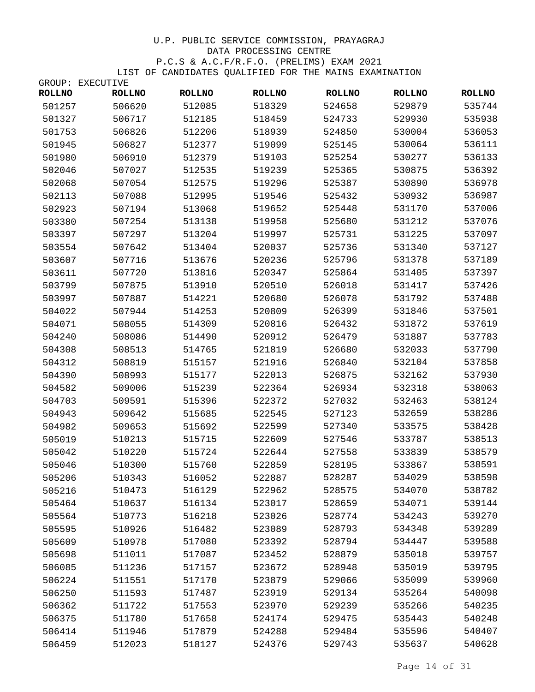|               | GROUP: EXECUTIVE |               |               |               |               |               |
|---------------|------------------|---------------|---------------|---------------|---------------|---------------|
| <b>ROLLNO</b> | <b>ROLLNO</b>    | <b>ROLLNO</b> | <b>ROLLNO</b> | <b>ROLLNO</b> | <b>ROLLNO</b> | <b>ROLLNO</b> |
| 501257        | 506620           | 512085        | 518329        | 524658        | 529879        | 535744        |
| 501327        | 506717           | 512185        | 518459        | 524733        | 529930        | 535938        |
| 501753        | 506826           | 512206        | 518939        | 524850        | 530004        | 536053        |
| 501945        | 506827           | 512377        | 519099        | 525145        | 530064        | 536111        |
| 501980        | 506910           | 512379        | 519103        | 525254        | 530277        | 536133        |
| 502046        | 507027           | 512535        | 519239        | 525365        | 530875        | 536392        |
| 502068        | 507054           | 512575        | 519296        | 525387        | 530890        | 536978        |
| 502113        | 507088           | 512995        | 519546        | 525432        | 530932        | 536987        |
| 502923        | 507194           | 513068        | 519652        | 525448        | 531170        | 537006        |
| 503380        | 507254           | 513138        | 519958        | 525680        | 531212        | 537076        |
| 503397        | 507297           | 513204        | 519997        | 525731        | 531225        | 537097        |
| 503554        | 507642           | 513404        | 520037        | 525736        | 531340        | 537127        |
| 503607        | 507716           | 513676        | 520236        | 525796        | 531378        | 537189        |
| 503611        | 507720           | 513816        | 520347        | 525864        | 531405        | 537397        |
| 503799        | 507875           | 513910        | 520510        | 526018        | 531417        | 537426        |
| 503997        | 507887           | 514221        | 520680        | 526078        | 531792        | 537488        |
| 504022        | 507944           | 514253        | 520809        | 526399        | 531846        | 537501        |
| 504071        | 508055           | 514309        | 520816        | 526432        | 531872        | 537619        |
| 504240        | 508086           | 514490        | 520912        | 526479        | 531887        | 537783        |
| 504308        | 508513           | 514765        | 521819        | 526680        | 532033        | 537790        |
| 504312        | 508819           | 515157        | 521916        | 526840        | 532104        | 537858        |
| 504390        | 508993           | 515177        | 522013        | 526875        | 532162        | 537930        |
| 504582        | 509006           | 515239        | 522364        | 526934        | 532318        | 538063        |
| 504703        | 509591           | 515396        | 522372        | 527032        | 532463        | 538124        |
| 504943        | 509642           | 515685        | 522545        | 527123        | 532659        | 538286        |
| 504982        | 509653           | 515692        | 522599        | 527340        | 533575        | 538428        |
| 505019        | 510213           | 515715        | 522609        | 527546        | 533787        | 538513        |
| 505042        | 510220           | 515724        | 522644        | 527558        | 533839        | 538579        |
| 505046        | 510300           | 515760        | 522859        | 528195        | 533867        | 538591        |
| 505206        | 510343           | 516052        | 522887        | 528287        | 534029        | 538598        |
| 505216        | 510473           | 516129        | 522962        | 528575        | 534070        | 538782        |
| 505464        | 510637           | 516134        | 523017        | 528659        | 534071        | 539144        |
| 505564        | 510773           | 516218        | 523026        | 528774        | 534243        | 539270        |
| 505595        | 510926           | 516482        | 523089        | 528793        | 534348        | 539289        |
| 505609        | 510978           | 517080        | 523392        | 528794        | 534447        | 539588        |
| 505698        | 511011           | 517087        | 523452        | 528879        | 535018        | 539757        |
| 506085        | 511236           | 517157        | 523672        | 528948        | 535019        | 539795        |
| 506224        | 511551           | 517170        | 523879        | 529066        | 535099        | 539960        |
| 506250        | 511593           | 517487        | 523919        | 529134        | 535264        | 540098        |
| 506362        | 511722           | 517553        | 523970        | 529239        | 535266        | 540235        |
| 506375        | 511780           | 517658        | 524174        | 529475        | 535443        | 540248        |
| 506414        | 511946           | 517879        | 524288        | 529484        | 535596        | 540407        |
| 506459        | 512023           | 518127        | 524376        | 529743        | 535637        | 540628        |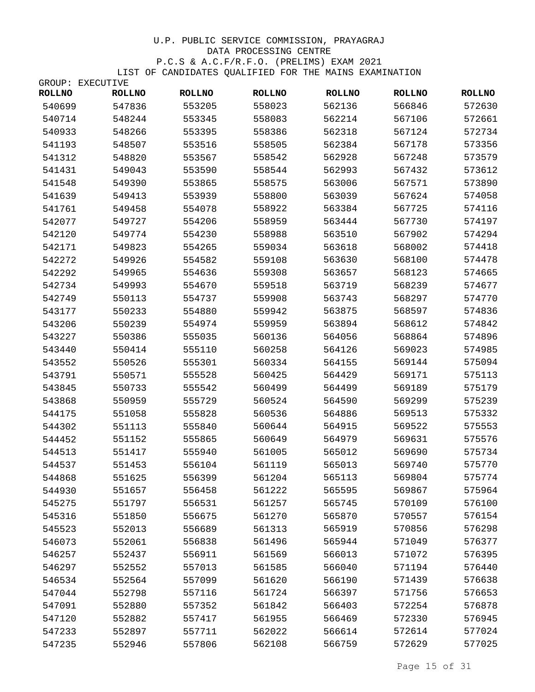GROUP: EXECUTIVE

| <b>ROLLNO</b> | <b>ROLLNO</b> | <b>ROLLNO</b> | <b>ROLLNO</b> | <b>ROLLNO</b> | <b>ROLLNO</b> | <b>ROLLNO</b> |
|---------------|---------------|---------------|---------------|---------------|---------------|---------------|
| 540699        | 547836        | 553205        | 558023        | 562136        | 566846        | 572630        |
| 540714        | 548244        | 553345        | 558083        | 562214        | 567106        | 572661        |
| 540933        | 548266        | 553395        | 558386        | 562318        | 567124        | 572734        |
| 541193        | 548507        | 553516        | 558505        | 562384        | 567178        | 573356        |
| 541312        | 548820        | 553567        | 558542        | 562928        | 567248        | 573579        |
| 541431        | 549043        | 553590        | 558544        | 562993        | 567432        | 573612        |
| 541548        | 549390        | 553865        | 558575        | 563006        | 567571        | 573890        |
| 541639        | 549413        | 553939        | 558800        | 563039        | 567624        | 574058        |
| 541761        | 549458        | 554078        | 558922        | 563384        | 567725        | 574116        |
| 542077        | 549727        | 554206        | 558959        | 563444        | 567730        | 574197        |
| 542120        | 549774        | 554230        | 558988        | 563510        | 567902        | 574294        |
| 542171        | 549823        | 554265        | 559034        | 563618        | 568002        | 574418        |
| 542272        | 549926        | 554582        | 559108        | 563630        | 568100        | 574478        |
| 542292        | 549965        | 554636        | 559308        | 563657        | 568123        | 574665        |
| 542734        | 549993        | 554670        | 559518        | 563719        | 568239        | 574677        |
| 542749        | 550113        | 554737        | 559908        | 563743        | 568297        | 574770        |
| 543177        | 550233        | 554880        | 559942        | 563875        | 568597        | 574836        |
| 543206        | 550239        | 554974        | 559959        | 563894        | 568612        | 574842        |
| 543227        | 550386        | 555035        | 560136        | 564056        | 568864        | 574896        |
| 543440        | 550414        | 555110        | 560258        | 564126        | 569023        | 574985        |
| 543552        | 550526        | 555301        | 560334        | 564155        | 569144        | 575094        |
| 543791        | 550571        | 555528        | 560425        | 564429        | 569171        | 575113        |
| 543845        | 550733        | 555542        | 560499        | 564499        | 569189        | 575179        |
| 543868        | 550959        | 555729        | 560524        | 564590        | 569299        | 575239        |
| 544175        | 551058        | 555828        | 560536        | 564886        | 569513        | 575332        |
| 544302        | 551113        | 555840        | 560644        | 564915        | 569522        | 575553        |
| 544452        | 551152        | 555865        | 560649        | 564979        | 569631        | 575576        |
| 544513        | 551417        | 555940        | 561005        | 565012        | 569690        | 575734        |
| 544537        | 551453        | 556104        | 561119        | 565013        | 569740        | 575770        |
| 544868        | 551625        | 556399        | 561204        | 565113        | 569804        | 575774        |
| 544930        | 551657        | 556458        | 561222        | 565595        | 569867        | 575964        |
| 545275        | 551797        | 556531        | 561257        | 565745        | 570109        | 576100        |
| 545316        | 551850        | 556675        | 561270        | 565870        | 570557        | 576154        |
| 545523        | 552013        | 556689        | 561313        | 565919        | 570856        | 576298        |
| 546073        | 552061        | 556838        | 561496        | 565944        | 571049        | 576377        |
| 546257        | 552437        | 556911        | 561569        | 566013        | 571072        | 576395        |
| 546297        | 552552        | 557013        | 561585        | 566040        | 571194        | 576440        |
| 546534        | 552564        | 557099        | 561620        | 566190        | 571439        | 576638        |
| 547044        | 552798        | 557116        | 561724        | 566397        | 571756        | 576653        |
| 547091        | 552880        | 557352        | 561842        | 566403        | 572254        | 576878        |
| 547120        | 552882        | 557417        | 561955        | 566469        | 572330        | 576945        |
| 547233        | 552897        | 557711        | 562022        | 566614        | 572614        | 577024        |
| 547235        | 552946        | 557806        | 562108        | 566759        | 572629        | 577025        |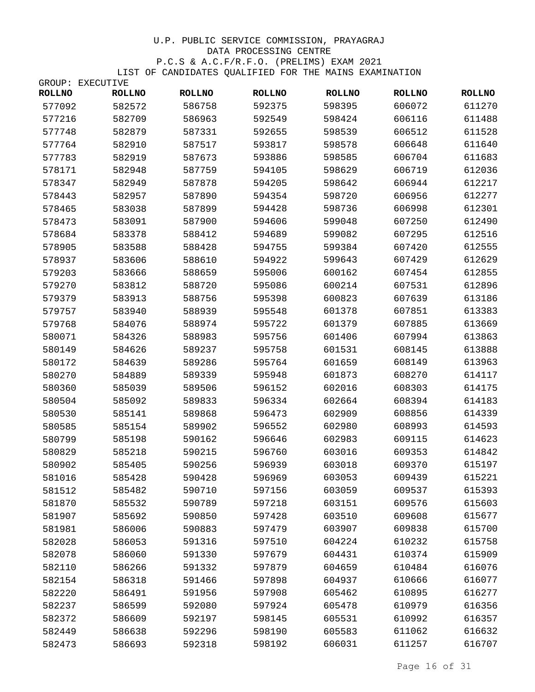|               | GROUP: EXECUTIVE |               |               |               |               |               |
|---------------|------------------|---------------|---------------|---------------|---------------|---------------|
| <b>ROLLNO</b> | <b>ROLLNO</b>    | <b>ROLLNO</b> | <b>ROLLNO</b> | <b>ROLLNO</b> | <b>ROLLNO</b> | <b>ROLLNO</b> |
| 577092        | 582572           | 586758        | 592375        | 598395        | 606072        | 611270        |
| 577216        | 582709           | 586963        | 592549        | 598424        | 606116        | 611488        |
| 577748        | 582879           | 587331        | 592655        | 598539        | 606512        | 611528        |
| 577764        | 582910           | 587517        | 593817        | 598578        | 606648        | 611640        |
| 577783        | 582919           | 587673        | 593886        | 598585        | 606704        | 611683        |
| 578171        | 582948           | 587759        | 594105        | 598629        | 606719        | 612036        |
| 578347        | 582949           | 587878        | 594205        | 598642        | 606944        | 612217        |
| 578443        | 582957           | 587890        | 594354        | 598720        | 606956        | 612277        |
| 578465        | 583038           | 587899        | 594428        | 598736        | 606998        | 612301        |
| 578473        | 583091           | 587900        | 594606        | 599048        | 607250        | 612490        |
| 578684        | 583378           | 588412        | 594689        | 599082        | 607295        | 612516        |
| 578905        | 583588           | 588428        | 594755        | 599384        | 607420        | 612555        |
| 578937        | 583606           | 588610        | 594922        | 599643        | 607429        | 612629        |
| 579203        | 583666           | 588659        | 595006        | 600162        | 607454        | 612855        |
| 579270        | 583812           | 588720        | 595086        | 600214        | 607531        | 612896        |
| 579379        | 583913           | 588756        | 595398        | 600823        | 607639        | 613186        |
| 579757        | 583940           | 588939        | 595548        | 601378        | 607851        | 613383        |
| 579768        | 584076           | 588974        | 595722        | 601379        | 607885        | 613669        |
| 580071        | 584326           | 588983        | 595756        | 601406        | 607994        | 613863        |
| 580149        | 584626           | 589237        | 595758        | 601531        | 608145        | 613888        |
| 580172        | 584639           | 589286        | 595764        | 601659        | 608149        | 613963        |
| 580270        | 584889           | 589339        | 595948        | 601873        | 608270        | 614117        |
| 580360        | 585039           | 589506        | 596152        | 602016        | 608303        | 614175        |
| 580504        | 585092           | 589833        | 596334        | 602664        | 608394        | 614183        |
| 580530        | 585141           | 589868        | 596473        | 602909        | 608856        | 614339        |
| 580585        | 585154           | 589902        | 596552        | 602980        | 608993        | 614593        |
| 580799        | 585198           | 590162        | 596646        | 602983        | 609115        | 614623        |
| 580829        | 585218           | 590215        | 596760        | 603016        | 609353        | 614842        |
| 580902        | 585405           | 590256        | 596939        | 603018        | 609370        | 615197        |
| 581016        | 585428           | 590428        | 596969        | 603053        | 609439        | 615221        |
| 581512        | 585482           | 590710        | 597156        | 603059        | 609537        | 615393        |
| 581870        | 585532           | 590789        | 597218        | 603151        | 609576        | 615603        |
| 581907        | 585692           | 590850        | 597428        | 603510        | 609608        | 615677        |
| 581981        | 586006           | 590883        | 597479        | 603907        | 609838        | 615700        |
| 582028        | 586053           | 591316        | 597510        | 604224        | 610232        | 615758        |
| 582078        | 586060           | 591330        | 597679        | 604431        | 610374        | 615909        |
| 582110        | 586266           | 591332        | 597879        | 604659        | 610484        | 616076        |
| 582154        | 586318           | 591466        | 597898        | 604937        | 610666        | 616077        |
| 582220        | 586491           | 591956        | 597908        | 605462        | 610895        | 616277        |
| 582237        | 586599           | 592080        | 597924        | 605478        | 610979        | 616356        |
| 582372        | 586609           | 592197        | 598145        | 605531        | 610992        | 616357        |
| 582449        | 586638           | 592296        | 598190        | 605583        | 611062        | 616632        |
| 582473        | 586693           | 592318        | 598192        | 606031        | 611257        | 616707        |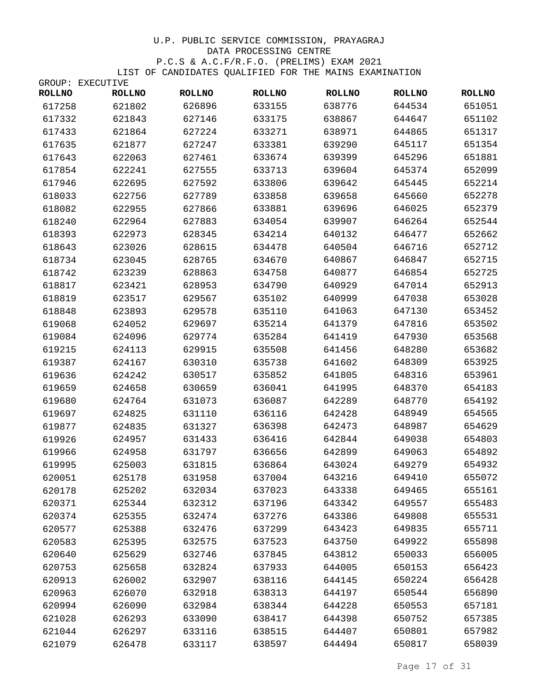|               | GROUP: EXECUTIVE |               |               |               |               |               |
|---------------|------------------|---------------|---------------|---------------|---------------|---------------|
| <b>ROLLNO</b> | <b>ROLLNO</b>    | <b>ROLLNO</b> | <b>ROLLNO</b> | <b>ROLLNO</b> | <b>ROLLNO</b> | <b>ROLLNO</b> |
| 617258        | 621802           | 626896        | 633155        | 638776        | 644534        | 651051        |
| 617332        | 621843           | 627146        | 633175        | 638867        | 644647        | 651102        |
| 617433        | 621864           | 627224        | 633271        | 638971        | 644865        | 651317        |
| 617635        | 621877           | 627247        | 633381        | 639290        | 645117        | 651354        |
| 617643        | 622063           | 627461        | 633674        | 639399        | 645296        | 651881        |
| 617854        | 622241           | 627555        | 633713        | 639604        | 645374        | 652099        |
| 617946        | 622695           | 627592        | 633806        | 639642        | 645445        | 652214        |
| 618033        | 622756           | 627789        | 633858        | 639658        | 645660        | 652278        |
| 618082        | 622955           | 627866        | 633881        | 639696        | 646025        | 652379        |
| 618240        | 622964           | 627883        | 634054        | 639907        | 646264        | 652544        |
| 618393        | 622973           | 628345        | 634214        | 640132        | 646477        | 652662        |
| 618643        | 623026           | 628615        | 634478        | 640504        | 646716        | 652712        |
| 618734        | 623045           | 628765        | 634670        | 640867        | 646847        | 652715        |
| 618742        | 623239           | 628863        | 634758        | 640877        | 646854        | 652725        |
| 618817        | 623421           | 628953        | 634790        | 640929        | 647014        | 652913        |
| 618819        | 623517           | 629567        | 635102        | 640999        | 647038        | 653028        |
| 618848        | 623893           | 629578        | 635110        | 641063        | 647130        | 653452        |
| 619068        | 624052           | 629697        | 635214        | 641379        | 647816        | 653502        |
| 619084        | 624096           | 629774        | 635284        | 641419        | 647930        | 653568        |
| 619215        | 624113           | 629915        | 635508        | 641456        | 648280        | 653682        |
| 619387        | 624167           | 630310        | 635738        | 641602        | 648309        | 653925        |
| 619636        | 624242           | 630517        | 635852        | 641805        | 648316        | 653961        |
| 619659        | 624658           | 630659        | 636041        | 641995        | 648370        | 654183        |
| 619680        | 624764           | 631073        | 636087        | 642289        | 648770        | 654192        |
| 619697        | 624825           | 631110        | 636116        | 642428        | 648949        | 654565        |
| 619877        | 624835           | 631327        | 636398        | 642473        | 648987        | 654629        |
| 619926        | 624957           | 631433        | 636416        | 642844        | 649038        | 654803        |
| 619966        | 624958           | 631797        | 636656        | 642899        | 649063        | 654892        |
| 619995        | 625003           | 631815        | 636864        | 643024        | 649279        | 654932        |
| 620051        | 625178           | 631958        | 637004        | 643216        | 649410        | 655072        |
| 620178        | 625202           | 632034        | 637023        | 643338        | 649465        | 655161        |
| 620371        | 625344           | 632312        | 637196        | 643342        | 649557        | 655483        |
| 620374        | 625355           | 632474        | 637276        | 643386        | 649808        | 655531        |
| 620577        | 625388           | 632476        | 637299        | 643423        | 649835        | 655711        |
| 620583        | 625395           | 632575        | 637523        | 643750        | 649922        | 655898        |
| 620640        | 625629           | 632746        | 637845        | 643812        | 650033        | 656005        |
| 620753        | 625658           | 632824        | 637933        | 644005        | 650153        | 656423        |
| 620913        | 626002           | 632907        | 638116        | 644145        | 650224        | 656428        |
| 620963        | 626070           | 632918        | 638313        | 644197        | 650544        | 656890        |
| 620994        | 626090           | 632984        | 638344        | 644228        | 650553        | 657181        |
| 621028        | 626293           | 633090        | 638417        | 644398        | 650752        | 657385        |
| 621044        | 626297           | 633116        | 638515        | 644407        | 650801        | 657982        |
| 621079        | 626478           | 633117        | 638597        | 644494        | 650817        | 658039        |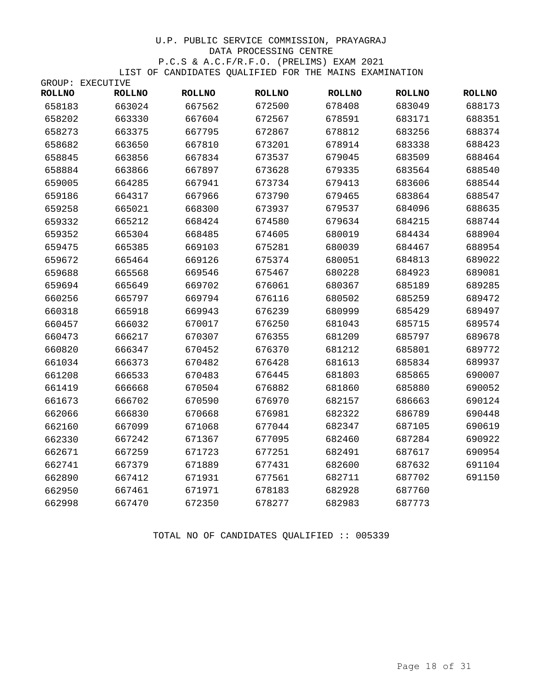|               | GROUP: EXECUTIVE |               |               |               |               |               |
|---------------|------------------|---------------|---------------|---------------|---------------|---------------|
| <b>ROLLNO</b> | <b>ROLLNO</b>    | <b>ROLLNO</b> | <b>ROLLNO</b> | <b>ROLLNO</b> | <b>ROLLNO</b> | <b>ROLLNO</b> |
| 658183        | 663024           | 667562        | 672500        | 678408        | 683049        | 688173        |
| 658202        | 663330           | 667604        | 672567        | 678591        | 683171        | 688351        |
| 658273        | 663375           | 667795        | 672867        | 678812        | 683256        | 688374        |
| 658682        | 663650           | 667810        | 673201        | 678914        | 683338        | 688423        |
| 658845        | 663856           | 667834        | 673537        | 679045        | 683509        | 688464        |
| 658884        | 663866           | 667897        | 673628        | 679335        | 683564        | 688540        |
| 659005        | 664285           | 667941        | 673734        | 679413        | 683606        | 688544        |
| 659186        | 664317           | 667966        | 673790        | 679465        | 683864        | 688547        |
| 659258        | 665021           | 668300        | 673937        | 679537        | 684096        | 688635        |
| 659332        | 665212           | 668424        | 674580        | 679634        | 684215        | 688744        |
| 659352        | 665304           | 668485        | 674605        | 680019        | 684434        | 688904        |
| 659475        | 665385           | 669103        | 675281        | 680039        | 684467        | 688954        |
| 659672        | 665464           | 669126        | 675374        | 680051        | 684813        | 689022        |
| 659688        | 665568           | 669546        | 675467        | 680228        | 684923        | 689081        |
| 659694        | 665649           | 669702        | 676061        | 680367        | 685189        | 689285        |
| 660256        | 665797           | 669794        | 676116        | 680502        | 685259        | 689472        |
| 660318        | 665918           | 669943        | 676239        | 680999        | 685429        | 689497        |
| 660457        | 666032           | 670017        | 676250        | 681043        | 685715        | 689574        |
| 660473        | 666217           | 670307        | 676355        | 681209        | 685797        | 689678        |
| 660820        | 666347           | 670452        | 676370        | 681212        | 685801        | 689772        |
| 661034        | 666373           | 670482        | 676428        | 681613        | 685834        | 689937        |
| 661208        | 666533           | 670483        | 676445        | 681803        | 685865        | 690007        |
| 661419        | 666668           | 670504        | 676882        | 681860        | 685880        | 690052        |
| 661673        | 666702           | 670590        | 676970        | 682157        | 686663        | 690124        |
| 662066        | 666830           | 670668        | 676981        | 682322        | 686789        | 690448        |
| 662160        | 667099           | 671068        | 677044        | 682347        | 687105        | 690619        |
| 662330        | 667242           | 671367        | 677095        | 682460        | 687284        | 690922        |
| 662671        | 667259           | 671723        | 677251        | 682491        | 687617        | 690954        |
| 662741        | 667379           | 671889        | 677431        | 682600        | 687632        | 691104        |
| 662890        | 667412           | 671931        | 677561        | 682711        | 687702        | 691150        |
| 662950        | 667461           | 671971        | 678183        | 682928        | 687760        |               |
| 662998        | 667470           | 672350        | 678277        | 682983        | 687773        |               |

TOTAL NO OF CANDIDATES QUALIFIED :: 005339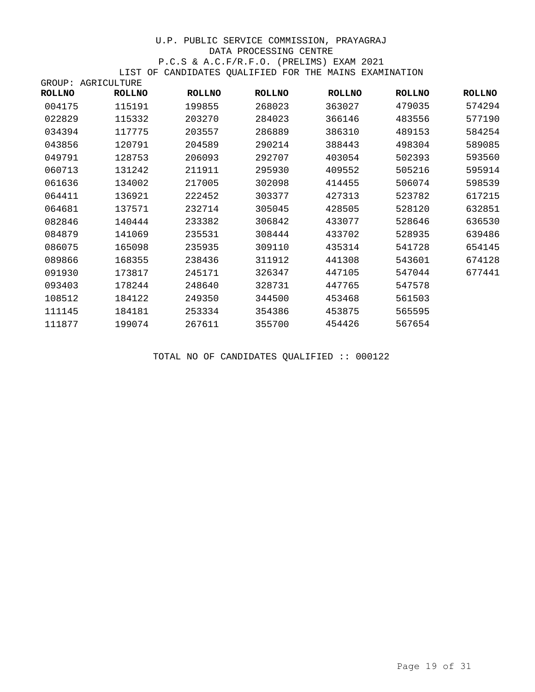|               | GROUP: AGRICULTURE |               |               |               |               |               |
|---------------|--------------------|---------------|---------------|---------------|---------------|---------------|
| <b>ROLLNO</b> | <b>ROLLNO</b>      | <b>ROLLNO</b> | <b>ROLLNO</b> | <b>ROLLNO</b> | <b>ROLLNO</b> | <b>ROLLNO</b> |
| 004175        | 115191             | 199855        | 268023        | 363027        | 479035        | 574294        |
| 022829        | 115332             | 203270        | 284023        | 366146        | 483556        | 577190        |
| 034394        | 117775             | 203557        | 286889        | 386310        | 489153        | 584254        |
| 043856        | 120791             | 204589        | 290214        | 388443        | 498304        | 589085        |
| 049791        | 128753             | 206093        | 292707        | 403054        | 502393        | 593560        |
| 060713        | 131242             | 211911        | 295930        | 409552        | 505216        | 595914        |
| 061636        | 134002             | 217005        | 302098        | 414455        | 506074        | 598539        |
| 064411        | 136921             | 222452        | 303377        | 427313        | 523782        | 617215        |
| 064681        | 137571             | 232714        | 305045        | 428505        | 528120        | 632851        |
| 082846        | 140444             | 233382        | 306842        | 433077        | 528646        | 636530        |
| 084879        | 141069             | 235531        | 308444        | 433702        | 528935        | 639486        |
| 086075        | 165098             | 235935        | 309110        | 435314        | 541728        | 654145        |
| 089866        | 168355             | 238436        | 311912        | 441308        | 543601        | 674128        |
| 091930        | 173817             | 245171        | 326347        | 447105        | 547044        | 677441        |
| 093403        | 178244             | 248640        | 328731        | 447765        | 547578        |               |
| 108512        | 184122             | 249350        | 344500        | 453468        | 561503        |               |
| 111145        | 184181             | 253334        | 354386        | 453875        | 565595        |               |
| 111877        | 199074             | 267611        | 355700        | 454426        | 567654        |               |

TOTAL NO OF CANDIDATES QUALIFIED :: 000122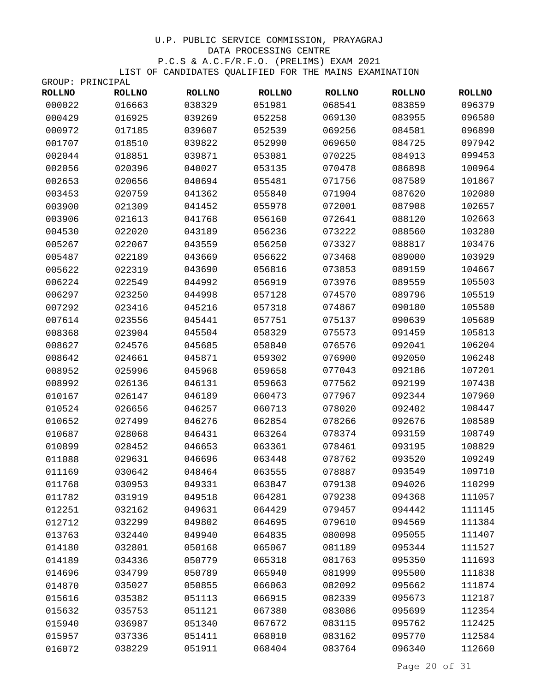| <b>ROLLNO</b> | <b>ROLLNO</b> | <b>ROLLNO</b> | <b>ROLLNO</b> | <b>ROLLNO</b> | <b>ROLLNO</b> | <b>ROLLNO</b> |
|---------------|---------------|---------------|---------------|---------------|---------------|---------------|
| 000022        | 016663        | 038329        | 051981        | 068541        | 083859        | 096379        |
| 000429        | 016925        | 039269        | 052258        | 069130        | 083955        | 096580        |
| 000972        | 017185        | 039607        | 052539        | 069256        | 084581        | 096890        |
| 001707        | 018510        | 039822        | 052990        | 069650        | 084725        | 097942        |
| 002044        | 018851        | 039871        | 053081        | 070225        | 084913        | 099453        |
| 002056        | 020396        | 040027        | 053135        | 070478        | 086898        | 100964        |
| 002653        | 020656        | 040694        | 055481        | 071756        | 087589        | 101867        |
| 003453        | 020759        | 041362        | 055840        | 071904        | 087620        | 102080        |
| 003900        | 021309        | 041452        | 055978        | 072001        | 087908        | 102657        |
| 003906        | 021613        | 041768        | 056160        | 072641        | 088120        | 102663        |
| 004530        | 022020        | 043189        | 056236        | 073222        | 088560        | 103280        |
| 005267        | 022067        | 043559        | 056250        | 073327        | 088817        | 103476        |
| 005487        | 022189        | 043669        | 056622        | 073468        | 089000        | 103929        |
| 005622        | 022319        | 043690        | 056816        | 073853        | 089159        | 104667        |
| 006224        | 022549        | 044992        | 056919        | 073976        | 089559        | 105503        |
| 006297        | 023250        | 044998        | 057128        | 074570        | 089796        | 105519        |
| 007292        | 023416        | 045216        | 057318        | 074867        | 090180        | 105580        |
| 007614        | 023556        | 045441        | 057751        | 075137        | 090639        | 105689        |
| 008368        | 023904        | 045504        | 058329        | 075573        | 091459        | 105813        |
| 008627        | 024576        | 045685        | 058840        | 076576        | 092041        | 106204        |
| 008642        | 024661        | 045871        | 059302        | 076900        | 092050        | 106248        |
| 008952        | 025996        | 045968        | 059658        | 077043        | 092186        | 107201        |
| 008992        | 026136        | 046131        | 059663        | 077562        | 092199        | 107438        |
| 010167        | 026147        | 046189        | 060473        | 077967        | 092344        | 107960        |
| 010524        | 026656        | 046257        | 060713        | 078020        | 092402        | 108447        |
| 010652        | 027499        | 046276        | 062854        | 078266        | 092676        | 108589        |
| 010687        | 028068        | 046431        | 063264        | 078374        | 093159        | 108749        |
| 010899        | 028452        | 046653        | 063361        | 078461        | 093195        | 108829        |
| 011088        | 029631        | 046696        | 063448        | 078762        | 093520        | 109249        |
| 011169        | 030642        | 048464        | 063555        | 078887        | 093549        | 109710        |
| 011768        | 030953        | 049331        | 063847        | 079138        | 094026        | 110299        |
| 011782        | 031919        | 049518        | 064281        | 079238        | 094368        | 111057        |
| 012251        | 032162        | 049631        | 064429        | 079457        | 094442        | 111145        |
| 012712        | 032299        | 049802        | 064695        | 079610        | 094569        | 111384        |
| 013763        | 032440        | 049940        | 064835        | 080098        | 095055        | 111407        |
| 014180        | 032801        | 050168        | 065067        | 081189        | 095344        | 111527        |
| 014189        | 034336        | 050779        | 065318        | 081763        | 095350        | 111693        |
| 014696        | 034799        | 050789        | 065940        | 081999        | 095500        | 111838        |
| 014870        | 035027        | 050855        | 066063        | 082092        | 095662        | 111874        |
| 015616        | 035382        | 051113        | 066915        | 082339        | 095673        | 112187        |
| 015632        | 035753        | 051121        | 067380        | 083086        | 095699        | 112354        |
| 015940        | 036987        | 051340        | 067672        | 083115        | 095762        | 112425        |
| 015957        | 037336        | 051411        | 068010        | 083162        | 095770        | 112584        |
| 016072        | 038229        | 051911        | 068404        | 083764        | 096340        | 112660        |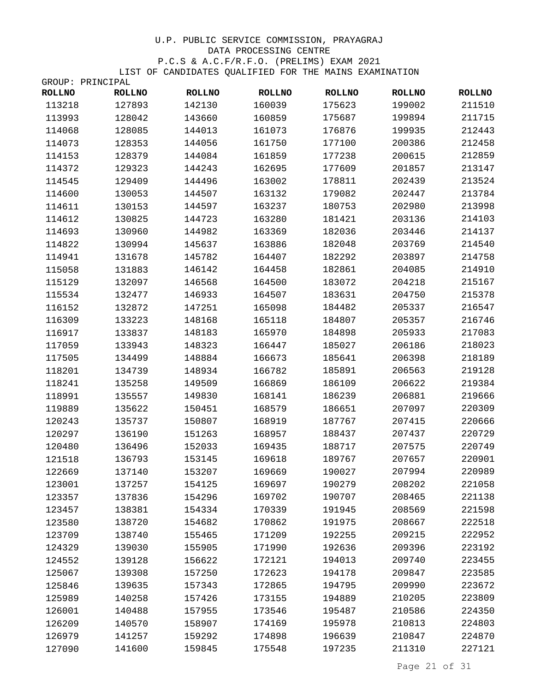| <b>ROLLNO</b> | <b>ROLLNO</b> | <b>ROLLNO</b> | <b>ROLLNO</b> | <b>ROLLNO</b> | <b>ROLLNO</b> | <b>ROLLNO</b> |
|---------------|---------------|---------------|---------------|---------------|---------------|---------------|
| 113218        | 127893        | 142130        | 160039        | 175623        | 199002        | 211510        |
| 113993        | 128042        | 143660        | 160859        | 175687        | 199894        | 211715        |
| 114068        | 128085        | 144013        | 161073        | 176876        | 199935        | 212443        |
| 114073        | 128353        | 144056        | 161750        | 177100        | 200386        | 212458        |
| 114153        | 128379        | 144084        | 161859        | 177238        | 200615        | 212859        |
| 114372        | 129323        | 144243        | 162695        | 177609        | 201857        | 213147        |
| 114545        | 129409        | 144496        | 163002        | 178811        | 202439        | 213524        |
| 114600        | 130053        | 144507        | 163132        | 179082        | 202447        | 213784        |
| 114611        | 130153        | 144597        | 163237        | 180753        | 202980        | 213998        |
| 114612        | 130825        | 144723        | 163280        | 181421        | 203136        | 214103        |
| 114693        | 130960        | 144982        | 163369        | 182036        | 203446        | 214137        |
| 114822        | 130994        | 145637        | 163886        | 182048        | 203769        | 214540        |
| 114941        | 131678        | 145782        | 164407        | 182292        | 203897        | 214758        |
| 115058        | 131883        | 146142        | 164458        | 182861        | 204085        | 214910        |
| 115129        | 132097        | 146568        | 164500        | 183072        | 204218        | 215167        |
| 115534        | 132477        | 146933        | 164507        | 183631        | 204750        | 215378        |
| 116152        | 132872        | 147251        | 165098        | 184482        | 205337        | 216547        |
| 116309        | 133223        | 148168        | 165118        | 184807        | 205357        | 216746        |
| 116917        | 133837        | 148183        | 165970        | 184898        | 205933        | 217083        |
| 117059        | 133943        | 148323        | 166447        | 185027        | 206186        | 218023        |
| 117505        | 134499        | 148884        | 166673        | 185641        | 206398        | 218189        |
| 118201        | 134739        | 148934        | 166782        | 185891        | 206563        | 219128        |
| 118241        | 135258        | 149509        | 166869        | 186109        | 206622        | 219384        |
| 118991        | 135557        | 149830        | 168141        | 186239        | 206881        | 219666        |
| 119889        | 135622        | 150451        | 168579        | 186651        | 207097        | 220309        |
| 120243        | 135737        | 150807        | 168919        | 187767        | 207415        | 220666        |
| 120297        | 136190        | 151263        | 168957        | 188437        | 207437        | 220729        |
| 120480        | 136496        | 152033        | 169435        | 188717        | 207575        | 220749        |
| 121518        | 136793        | 153145        | 169618        | 189767        | 207657        | 220901        |
| 122669        | 137140        | 153207        | 169669        | 190027        | 207994        | 220989        |
| 123001        | 137257        | 154125        | 169697        | 190279        | 208202        | 221058        |
| 123357        | 137836        | 154296        | 169702        | 190707        | 208465        | 221138        |
| 123457        | 138381        | 154334        | 170339        | 191945        | 208569        | 221598        |
| 123580        | 138720        | 154682        | 170862        | 191975        | 208667        | 222518        |
| 123709        | 138740        | 155465        | 171209        | 192255        | 209215        | 222952        |
| 124329        | 139030        | 155905        | 171990        | 192636        | 209396        | 223192        |
| 124552        | 139128        | 156622        | 172121        | 194013        | 209740        | 223455        |
| 125067        | 139308        | 157250        | 172623        | 194178        | 209847        | 223585        |
| 125846        | 139635        | 157343        | 172865        | 194795        | 209990        | 223672        |
| 125989        | 140258        | 157426        | 173155        | 194889        | 210205        | 223809        |
| 126001        | 140488        | 157955        | 173546        | 195487        | 210586        | 224350        |
| 126209        | 140570        | 158907        | 174169        | 195978        | 210813        | 224803        |
| 126979        | 141257        | 159292        | 174898        | 196639        | 210847        | 224870        |
| 127090        | 141600        | 159845        | 175548        | 197235        | 211310        | 227121        |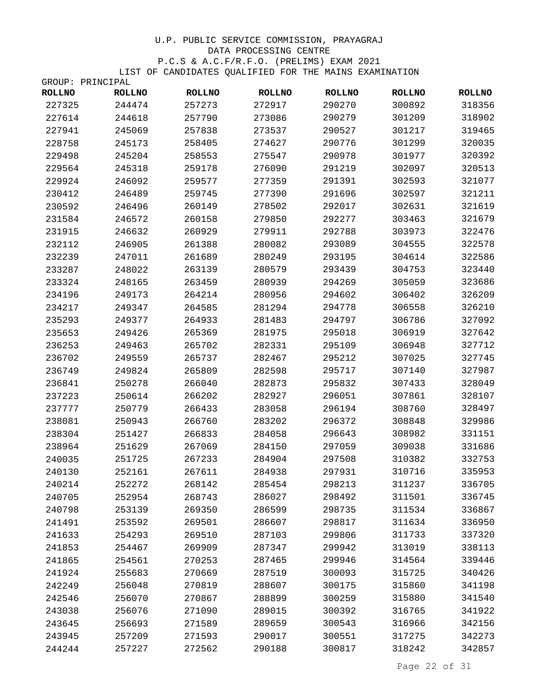| <b>ROLLNO</b> | <b>ROLLNO</b> | <b>ROLLNO</b> | <b>ROLLNO</b> | <b>ROLLNO</b> | <b>ROLLNO</b> | <b>ROLLNO</b> |
|---------------|---------------|---------------|---------------|---------------|---------------|---------------|
| 227325        | 244474        | 257273        | 272917        | 290270        | 300892        | 318356        |
| 227614        | 244618        | 257790        | 273086        | 290279        | 301209        | 318902        |
| 227941        | 245069        | 257838        | 273537        | 290527        | 301217        | 319465        |
| 228758        | 245173        | 258405        | 274627        | 290776        | 301299        | 320035        |
| 229498        | 245204        | 258553        | 275547        | 290978        | 301977        | 320392        |
| 229564        | 245318        | 259178        | 276090        | 291219        | 302097        | 320513        |
| 229924        | 246092        | 259577        | 277359        | 291391        | 302593        | 321077        |
| 230412        | 246489        | 259745        | 277390        | 291696        | 302597        | 321211        |
| 230592        | 246496        | 260149        | 278502        | 292017        | 302631        | 321619        |
| 231584        | 246572        | 260158        | 279850        | 292277        | 303463        | 321679        |
| 231915        | 246632        | 260929        | 279911        | 292788        | 303973        | 322476        |
| 232112        | 246905        | 261388        | 280082        | 293089        | 304555        | 322578        |
| 232239        | 247011        | 261689        | 280249        | 293195        | 304614        | 322586        |
| 233287        | 248022        | 263139        | 280579        | 293439        | 304753        | 323440        |
| 233324        | 248165        | 263459        | 280939        | 294269        | 305059        | 323686        |
| 234196        | 249173        | 264214        | 280956        | 294602        | 306402        | 326209        |
| 234217        | 249347        | 264585        | 281294        | 294778        | 306558        | 326210        |
| 235293        | 249377        | 264933        | 281483        | 294797        | 306786        | 327092        |
| 235653        | 249426        | 265369        | 281975        | 295018        | 306919        | 327642        |
| 236253        | 249463        | 265702        | 282331        | 295109        | 306948        | 327712        |
| 236702        | 249559        | 265737        | 282467        | 295212        | 307025        | 327745        |
| 236749        | 249824        | 265809        | 282598        | 295717        | 307140        | 327987        |
| 236841        | 250278        | 266040        | 282873        | 295832        | 307433        | 328049        |
| 237223        | 250614        | 266202        | 282927        | 296051        | 307861        | 328107        |
| 237777        | 250779        | 266433        | 283058        | 296194        | 308760        | 328497        |
| 238081        | 250943        | 266760        | 283202        | 296372        | 308848        | 329986        |
| 238304        | 251427        | 266833        | 284058        | 296643        | 308982        | 331151        |
| 238964        | 251629        | 267069        | 284150        | 297059        | 309038        | 331686        |
| 240035        | 251725        | 267233        | 284904        | 297508        | 310382        | 332753        |
| 240130        | 252161        | 267611        | 284938        | 297931        | 310716        | 335953        |
| 240214        | 252272        | 268142        | 285454        | 298213        | 311237        | 336705        |
| 240705        | 252954        | 268743        | 286027        | 298492        | 311501        | 336745        |
| 240798        | 253139        | 269350        | 286599        | 298735        | 311534        | 336867        |
| 241491        | 253592        | 269501        | 286607        | 298817        | 311634        | 336950        |
| 241633        | 254293        | 269510        | 287103        | 299806        | 311733        | 337320        |
| 241853        | 254467        | 269909        | 287347        | 299942        | 313019        | 338113        |
| 241865        | 254561        | 270253        | 287465        | 299946        | 314564        | 339446        |
| 241924        | 255683        | 270669        | 287519        | 300093        | 315725        | 340426        |
| 242249        | 256048        | 270819        | 288607        | 300175        | 315860        | 341198        |
| 242546        | 256070        | 270867        | 288899        | 300259        | 315880        | 341540        |
| 243038        | 256076        | 271090        | 289015        | 300392        | 316765        | 341922        |
| 243645        | 256693        | 271589        | 289659        | 300543        | 316966        | 342156        |
| 243945        | 257209        | 271593        | 290017        | 300551        | 317275        | 342273        |
| 244244        | 257227        | 272562        | 290188        | 300817        | 318242        | 342857        |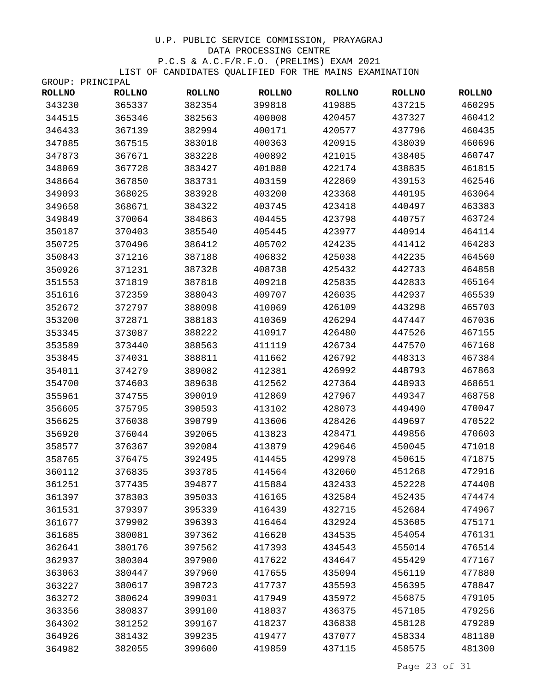| <b>ROLLNO</b> | <b>ROLLNO</b> | <b>ROLLNO</b> | <b>ROLLNO</b> | <b>ROLLNO</b> | <b>ROLLNO</b> | <b>ROLLNO</b> |
|---------------|---------------|---------------|---------------|---------------|---------------|---------------|
| 343230        | 365337        | 382354        | 399818        | 419885        | 437215        | 460295        |
| 344515        | 365346        | 382563        | 400008        | 420457        | 437327        | 460412        |
| 346433        | 367139        | 382994        | 400171        | 420577        | 437796        | 460435        |
| 347085        | 367515        | 383018        | 400363        | 420915        | 438039        | 460696        |
| 347873        | 367671        | 383228        | 400892        | 421015        | 438405        | 460747        |
| 348069        | 367728        | 383427        | 401080        | 422174        | 438835        | 461815        |
| 348664        | 367850        | 383731        | 403159        | 422869        | 439153        | 462546        |
| 349093        | 368025        | 383928        | 403200        | 423368        | 440195        | 463064        |
| 349658        | 368671        | 384322        | 403745        | 423418        | 440497        | 463383        |
| 349849        | 370064        | 384863        | 404455        | 423798        | 440757        | 463724        |
| 350187        | 370403        | 385540        | 405445        | 423977        | 440914        | 464114        |
| 350725        | 370496        | 386412        | 405702        | 424235        | 441412        | 464283        |
| 350843        | 371216        | 387188        | 406832        | 425038        | 442235        | 464560        |
| 350926        | 371231        | 387328        | 408738        | 425432        | 442733        | 464858        |
| 351553        | 371819        | 387818        | 409218        | 425835        | 442833        | 465164        |
| 351616        | 372359        | 388043        | 409707        | 426035        | 442937        | 465539        |
| 352672        | 372797        | 388098        | 410069        | 426109        | 443298        | 465703        |
| 353200        | 372871        | 388183        | 410369        | 426294        | 447447        | 467036        |
| 353345        | 373087        | 388222        | 410917        | 426480        | 447526        | 467155        |
| 353589        | 373440        | 388563        | 411119        | 426734        | 447570        | 467168        |
| 353845        | 374031        | 388811        | 411662        | 426792        | 448313        | 467384        |
| 354011        | 374279        | 389082        | 412381        | 426992        | 448793        | 467863        |
| 354700        | 374603        | 389638        | 412562        | 427364        | 448933        | 468651        |
| 355961        | 374755        | 390019        | 412869        | 427967        | 449347        | 468758        |
| 356605        | 375795        | 390593        | 413102        | 428073        | 449490        | 470047        |
| 356625        | 376038        | 390799        | 413606        | 428426        | 449697        | 470522        |
| 356920        | 376044        | 392065        | 413823        | 428471        | 449856        | 470603        |
| 358577        | 376367        | 392084        | 413879        | 429646        | 450045        | 471018        |
| 358765        | 376475        | 392495        | 414455        | 429978        | 450615        | 471875        |
| 360112        | 376835        | 393785        | 414564        | 432060        | 451268        | 472916        |
| 361251        | 377435        | 394877        | 415884        | 432433        | 452228        | 474408        |
| 361397        | 378303        | 395033        | 416165        | 432584        | 452435        | 474474        |
| 361531        | 379397        | 395339        | 416439        | 432715        | 452684        | 474967        |
| 361677        | 379902        | 396393        | 416464        | 432924        | 453605        | 475171        |
| 361685        | 380081        | 397362        | 416620        | 434535        | 454054        | 476131        |
| 362641        | 380176        | 397562        | 417393        | 434543        | 455014        | 476514        |
| 362937        | 380304        | 397900        | 417622        | 434647        | 455429        | 477167        |
| 363063        | 380447        | 397960        | 417655        | 435094        | 456119        | 477880        |
| 363227        | 380617        | 398723        | 417737        | 435593        | 456395        | 478847        |
| 363272        | 380624        | 399031        | 417949        | 435972        | 456875        | 479105        |
| 363356        | 380837        | 399100        | 418037        | 436375        | 457105        | 479256        |
| 364302        | 381252        | 399167        | 418237        | 436838        | 458128        | 479289        |
| 364926        | 381432        | 399235        | 419477        | 437077        | 458334        | 481180        |
| 364982        | 382055        | 399600        | 419859        | 437115        | 458575        | 481300        |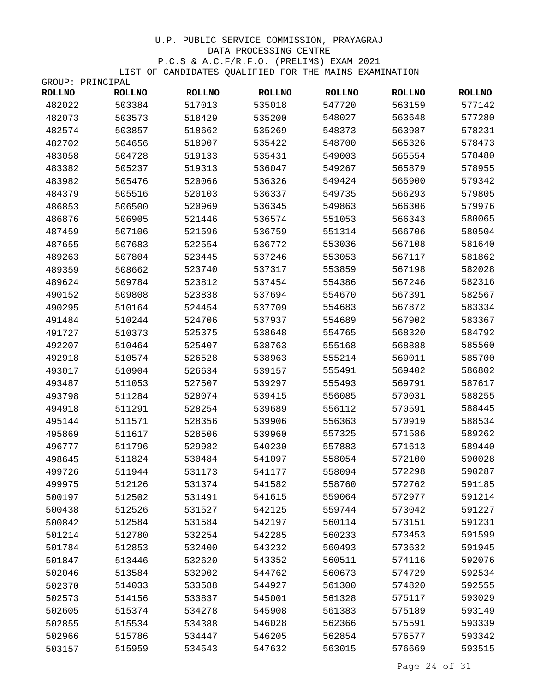| <b>ROLLNO</b> | <b>ROLLNO</b> | <b>ROLLNO</b> | <b>ROLLNO</b> | <b>ROLLNO</b> | <b>ROLLNO</b> | <b>ROLLNO</b> |
|---------------|---------------|---------------|---------------|---------------|---------------|---------------|
| 482022        | 503384        | 517013        | 535018        | 547720        | 563159        | 577142        |
| 482073        | 503573        | 518429        | 535200        | 548027        | 563648        | 577280        |
| 482574        | 503857        | 518662        | 535269        | 548373        | 563987        | 578231        |
| 482702        | 504656        | 518907        | 535422        | 548700        | 565326        | 578473        |
| 483058        | 504728        | 519133        | 535431        | 549003        | 565554        | 578480        |
| 483382        | 505237        | 519313        | 536047        | 549267        | 565879        | 578955        |
| 483982        | 505476        | 520066        | 536326        | 549424        | 565900        | 579342        |
| 484379        | 505516        | 520103        | 536337        | 549735        | 566293        | 579805        |
| 486853        | 506500        | 520969        | 536345        | 549863        | 566306        | 579976        |
| 486876        | 506905        | 521446        | 536574        | 551053        | 566343        | 580065        |
| 487459        | 507106        | 521596        | 536759        | 551314        | 566706        | 580504        |
| 487655        | 507683        | 522554        | 536772        | 553036        | 567108        | 581640        |
| 489263        | 507804        | 523445        | 537246        | 553053        | 567117        | 581862        |
| 489359        | 508662        | 523740        | 537317        | 553859        | 567198        | 582028        |
| 489624        | 509784        | 523812        | 537454        | 554386        | 567246        | 582316        |
| 490152        | 509808        | 523838        | 537694        | 554670        | 567391        | 582567        |
| 490295        | 510164        | 524454        | 537709        | 554683        | 567872        | 583334        |
| 491484        | 510244        | 524706        | 537937        | 554689        | 567902        | 583367        |
| 491727        | 510373        | 525375        | 538648        | 554765        | 568320        | 584792        |
| 492207        | 510464        | 525407        | 538763        | 555168        | 568888        | 585560        |
| 492918        | 510574        | 526528        | 538963        | 555214        | 569011        | 585700        |
| 493017        | 510904        | 526634        | 539157        | 555491        | 569402        | 586802        |
| 493487        | 511053        | 527507        | 539297        | 555493        | 569791        | 587617        |
| 493798        | 511284        | 528074        | 539415        | 556085        | 570031        | 588255        |
| 494918        | 511291        | 528254        | 539689        | 556112        | 570591        | 588445        |
| 495144        | 511571        | 528356        | 539906        | 556363        | 570919        | 588534        |
| 495869        | 511617        | 528506        | 539960        | 557325        | 571586        | 589262        |
| 496777        | 511796        | 529982        | 540230        | 557883        | 571613        | 589440        |
| 498645        | 511824        | 530484        | 541097        | 558054        | 572100        | 590028        |
| 499726        | 511944        | 531173        | 541177        | 558094        | 572298        | 590287        |
| 499975        | 512126        | 531374        | 541582        | 558760        | 572762        | 591185        |
| 500197        | 512502        | 531491        | 541615        | 559064        | 572977        | 591214        |
| 500438        | 512526        | 531527        | 542125        | 559744        | 573042        | 591227        |
| 500842        | 512584        | 531584        | 542197        | 560114        | 573151        | 591231        |
| 501214        | 512780        | 532254        | 542285        | 560233        | 573453        | 591599        |
| 501784        | 512853        | 532400        | 543232        | 560493        | 573632        | 591945        |
| 501847        | 513446        | 532620        | 543352        | 560511        | 574116        | 592076        |
| 502046        | 513584        | 532902        | 544762        | 560673        | 574729        | 592534        |
| 502370        | 514033        | 533588        | 544927        | 561300        | 574820        | 592555        |
| 502573        | 514156        | 533837        | 545001        | 561328        | 575117        | 593029        |
| 502605        | 515374        | 534278        | 545908        | 561383        | 575189        | 593149        |
| 502855        | 515534        | 534388        | 546028        | 562366        | 575591        | 593339        |
| 502966        | 515786        | 534447        | 546205        | 562854        | 576577        | 593342        |
| 503157        | 515959        | 534543        | 547632        | 563015        | 576669        | 593515        |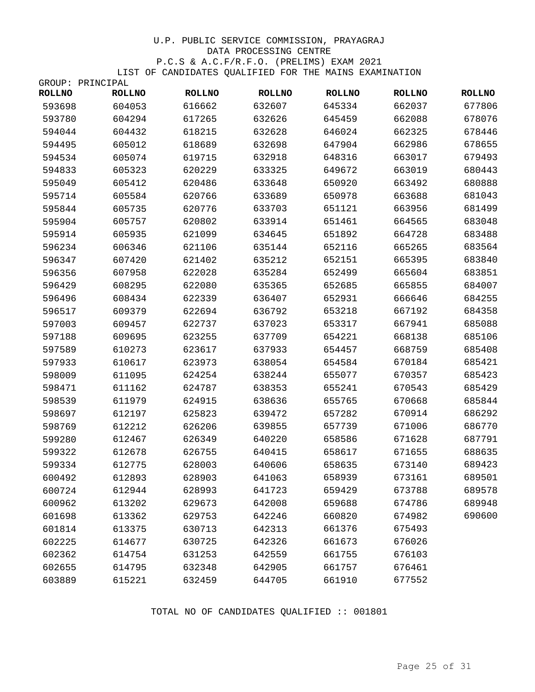|               | GROUP: PRINCIPAL |               |               |               |               |               |
|---------------|------------------|---------------|---------------|---------------|---------------|---------------|
| <b>ROLLNO</b> | <b>ROLLNO</b>    | <b>ROLLNO</b> | <b>ROLLNO</b> | <b>ROLLNO</b> | <b>ROLLNO</b> | <b>ROLLNO</b> |
| 593698        | 604053           | 616662        | 632607        | 645334        | 662037        | 677806        |
| 593780        | 604294           | 617265        | 632626        | 645459        | 662088        | 678076        |
| 594044        | 604432           | 618215        | 632628        | 646024        | 662325        | 678446        |
| 594495        | 605012           | 618689        | 632698        | 647904        | 662986        | 678655        |
| 594534        | 605074           | 619715        | 632918        | 648316        | 663017        | 679493        |
| 594833        | 605323           | 620229        | 633325        | 649672        | 663019        | 680443        |
| 595049        | 605412           | 620486        | 633648        | 650920        | 663492        | 680888        |
| 595714        | 605584           | 620766        | 633689        | 650978        | 663688        | 681043        |
| 595844        | 605735           | 620776        | 633703        | 651121        | 663956        | 681499        |
| 595904        | 605757           | 620802        | 633914        | 651461        | 664565        | 683048        |
| 595914        | 605935           | 621099        | 634645        | 651892        | 664728        | 683488        |
| 596234        | 606346           | 621106        | 635144        | 652116        | 665265        | 683564        |
| 596347        | 607420           | 621402        | 635212        | 652151        | 665395        | 683840        |
| 596356        | 607958           | 622028        | 635284        | 652499        | 665604        | 683851        |
| 596429        | 608295           | 622080        | 635365        | 652685        | 665855        | 684007        |
| 596496        | 608434           | 622339        | 636407        | 652931        | 666646        | 684255        |
| 596517        | 609379           | 622694        | 636792        | 653218        | 667192        | 684358        |
| 597003        | 609457           | 622737        | 637023        | 653317        | 667941        | 685088        |
| 597188        | 609695           | 623255        | 637709        | 654221        | 668138        | 685106        |
| 597589        | 610273           | 623617        | 637933        | 654457        | 668759        | 685408        |
| 597933        | 610617           | 623973        | 638054        | 654584        | 670184        | 685421        |
| 598009        | 611095           | 624254        | 638244        | 655077        | 670357        | 685423        |
| 598471        | 611162           | 624787        | 638353        | 655241        | 670543        | 685429        |
| 598539        | 611979           | 624915        | 638636        | 655765        | 670668        | 685844        |
| 598697        | 612197           | 625823        | 639472        | 657282        | 670914        | 686292        |
| 598769        | 612212           | 626206        | 639855        | 657739        | 671006        | 686770        |
| 599280        | 612467           | 626349        | 640220        | 658586        | 671628        | 687791        |
| 599322        | 612678           | 626755        | 640415        | 658617        | 671655        | 688635        |
| 599334        | 612775           | 628003        | 640606        | 658635        | 673140        | 689423        |
| 600492        | 612893           | 628903        | 641063        | 658939        | 673161        | 689501        |
| 600724        | 612944           | 628993        | 641723        | 659429        | 673788        | 689578        |
| 600962        | 613202           | 629673        | 642008        | 659688        | 674786        | 689948        |
| 601698        | 613362           | 629753        | 642246        | 660820        | 674982        | 690600        |
| 601814        | 613375           | 630713        | 642313        | 661376        | 675493        |               |
| 602225        | 614677           | 630725        | 642326        | 661673        | 676026        |               |
| 602362        | 614754           | 631253        | 642559        | 661755        | 676103        |               |
| 602655        | 614795           | 632348        | 642905        | 661757        | 676461        |               |
| 603889        | 615221           | 632459        | 644705        | 661910        | 677552        |               |

TOTAL NO OF CANDIDATES QUALIFIED :: 001801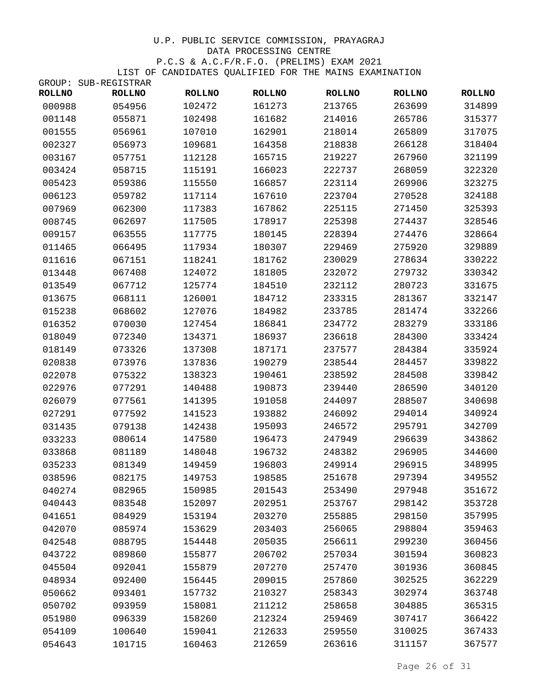| GROUP:        | SUB-REGISTRAR |               |               |               |               |               |
|---------------|---------------|---------------|---------------|---------------|---------------|---------------|
| <b>ROLLNO</b> | <b>ROLLNO</b> | <b>ROLLNO</b> | <b>ROLLNO</b> | <b>ROLLNO</b> | <b>ROLLNO</b> | <b>ROLLNO</b> |
| 000988        | 054956        | 102472        | 161273        | 213765        | 263699        | 314899        |
| 001148        | 055871        | 102498        | 161682        | 214016        | 265786        | 315377        |
| 001555        | 056961        | 107010        | 162901        | 218014        | 265809        | 317075        |
| 002327        | 056973        | 109681        | 164358        | 218838        | 266128        | 318404        |
| 003167        | 057751        | 112128        | 165715        | 219227        | 267960        | 321199        |
| 003424        | 058715        | 115191        | 166023        | 222737        | 268059        | 322320        |
| 005423        | 059386        | 115550        | 166857        | 223114        | 269906        | 323275        |
| 006123        | 059782        | 117114        | 167610        | 223704        | 270528        | 324188        |
| 007969        | 062300        | 117383        | 167862        | 225115        | 271450        | 325393        |
| 008745        | 062697        | 117505        | 178917        | 225398        | 274437        | 328546        |
| 009157        | 063555        | 117775        | 180145        | 228394        | 274476        | 328664        |
| 011465        | 066495        | 117934        | 180307        | 229469        | 275920        | 329889        |
| 011616        | 067151        | 118241        | 181762        | 230029        | 278634        | 330222        |
| 013448        | 067408        | 124072        | 181805        | 232072        | 279732        | 330342        |
| 013549        | 067712        | 125774        | 184510        | 232112        | 280723        | 331675        |
| 013675        | 068111        | 126001        | 184712        | 233315        | 281367        | 332147        |
| 015238        | 068602        | 127076        | 184982        | 233785        | 281474        | 332266        |
| 016352        | 070030        | 127454        | 186841        | 234772        | 283279        | 333186        |
| 018049        | 072340        | 134371        | 186937        | 236618        | 284300        | 333424        |
| 018149        | 073326        | 137308        | 187171        | 237577        | 284384        | 335924        |
| 020838        | 073976        | 137836        | 190279        | 238544        | 284457        | 339822        |
| 022078        | 075322        | 138323        | 190461        | 238592        | 284508        | 339842        |
| 022976        | 077291        | 140488        | 190873        | 239440        | 286590        | 340120        |
| 026079        | 077561        | 141395        | 191058        | 244097        | 288507        | 340698        |
| 027291        | 077592        | 141523        | 193882        | 246092        | 294014        | 340924        |
| 031435        | 079138        | 142438        | 195093        | 246572        | 295791        | 342709        |
| 033233        | 080614        | 147580        | 196473        | 247949        | 296639        | 343862        |
| 033868        | 081189        | 148048        | 196732        | 248382        | 296905        | 344600        |
| 035233        | 081349        | 149459        | 196803        | 249914        | 296915        | 348995        |
| 038596        | 082175        | 149753        | 198585        | 251678        | 297394        | 349552        |
| 040274        | 082965        | 150985        | 201543        | 253490        | 297948        | 351672        |
| 040443        | 083548        | 152097        | 202951        | 253767        | 298142        | 353728        |
| 041651        | 084929        | 153194        | 203270        | 255885        | 298150        | 357995        |
| 042070        | 085974        | 153629        | 203403        | 256065        | 298804        | 359463        |
| 042548        | 088795        | 154448        | 205035        | 256611        | 299230        | 360456        |
| 043722        | 089860        | 155877        | 206702        | 257034        | 301594        | 360823        |
| 045504        | 092041        | 155879        | 207270        | 257470        | 301936        | 360845        |
| 048934        | 092400        | 156445        | 209015        | 257860        | 302525        | 362229        |
| 050662        | 093401        | 157732        | 210327        | 258343        | 302974        | 363748        |
| 050702        | 093959        | 158081        | 211212        | 258658        | 304885        | 365315        |
| 051980        | 096339        | 158260        | 212324        | 259469        | 307417        | 366422        |
| 054109        | 100640        | 159041        | 212633        | 259550        | 310025        | 367433        |
| 054643        | 101715        | 160463        | 212659        | 263616        | 311157        | 367577        |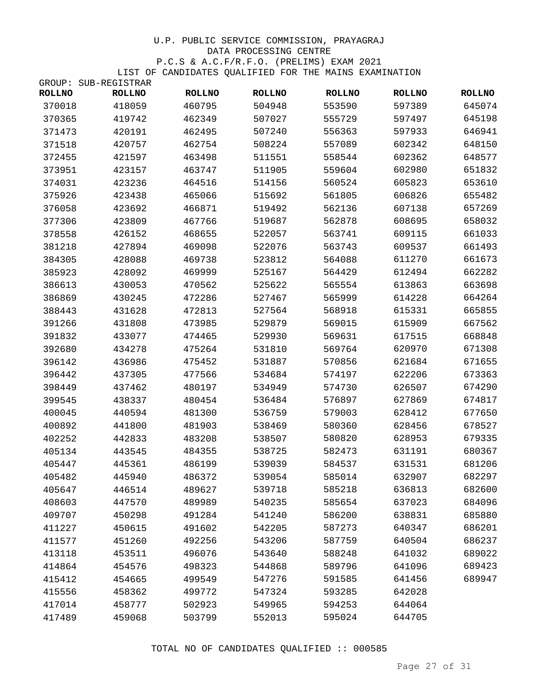# U.P. PUBLIC SERVICE COMMISSION, PRAYAGRAJ DATA PROCESSING CENTRE P.C.S & A.C.F/R.F.O. (PRELIMS) EXAM 2021

LIST OF CANDIDATES QUALIFIED FOR THE MAINS EXAMINATION

| GROUP:        | SUB-REGISTRAR |               |               |               |               |               |
|---------------|---------------|---------------|---------------|---------------|---------------|---------------|
| <b>ROLLNO</b> | <b>ROLLNO</b> | <b>ROLLNO</b> | <b>ROLLNO</b> | <b>ROLLNO</b> | <b>ROLLNO</b> | <b>ROLLNO</b> |
| 370018        | 418059        | 460795        | 504948        | 553590        | 597389        | 645074        |
| 370365        | 419742        | 462349        | 507027        | 555729        | 597497        | 645198        |
| 371473        | 420191        | 462495        | 507240        | 556363        | 597933        | 646941        |
| 371518        | 420757        | 462754        | 508224        | 557089        | 602342        | 648150        |
| 372455        | 421597        | 463498        | 511551        | 558544        | 602362        | 648577        |
| 373951        | 423157        | 463747        | 511905        | 559604        | 602980        | 651832        |
| 374031        | 423236        | 464516        | 514156        | 560524        | 605823        | 653610        |
| 375926        | 423438        | 465066        | 515692        | 561805        | 606826        | 655482        |
| 376058        | 423692        | 466871        | 519492        | 562136        | 607138        | 657269        |
| 377306        | 423809        | 467766        | 519687        | 562878        | 608695        | 658032        |
| 378558        | 426152        | 468655        | 522057        | 563741        | 609115        | 661033        |
| 381218        | 427894        | 469098        | 522076        | 563743        | 609537        | 661493        |
| 384305        | 428088        | 469738        | 523812        | 564088        | 611270        | 661673        |
| 385923        | 428092        | 469999        | 525167        | 564429        | 612494        | 662282        |
| 386613        | 430053        | 470562        | 525622        | 565554        | 613863        | 663698        |
| 386869        | 430245        | 472286        | 527467        | 565999        | 614228        | 664264        |
| 388443        | 431628        | 472813        | 527564        | 568918        | 615331        | 665855        |
| 391266        | 431808        | 473985        | 529879        | 569015        | 615909        | 667562        |
| 391832        | 433077        | 474465        | 529930        | 569631        | 617515        | 668848        |
| 392680        | 434278        | 475264        | 531810        | 569764        | 620970        | 671308        |
| 396142        | 436986        | 475452        | 531887        | 570856        | 621684        | 671655        |
| 396442        | 437305        | 477566        | 534684        | 574197        | 622206        | 673363        |
| 398449        | 437462        | 480197        | 534949        | 574730        | 626507        | 674290        |
| 399545        | 438337        | 480454        | 536484        | 576897        | 627869        | 674817        |
| 400045        | 440594        | 481300        | 536759        | 579003        | 628412        | 677650        |
| 400892        | 441800        | 481903        | 538469        | 580360        | 628456        | 678527        |
| 402252        | 442833        | 483208        | 538507        | 580820        | 628953        | 679335        |
| 405134        | 443545        | 484355        | 538725        | 582473        | 631191        | 680367        |
| 405447        | 445361        | 486199        | 539039        | 584537        | 631531        | 681206        |
| 405482        | 445940        | 486372        | 539054        | 585014        | 632907        | 682297        |
| 405647        | 446514        | 489627        | 539718        | 585218        | 636813        | 682600        |
| 408603        | 447570        | 489989        | 540235        | 585654        | 637023        | 684096        |
| 409707        | 450298        | 491284        | 541240        | 586200        | 638831        | 685880        |
| 411227        | 450615        | 491602        | 542205        | 587273        | 640347        | 686201        |
| 411577        | 451260        | 492256        | 543206        | 587759        | 640504        | 686237        |
| 413118        | 453511        | 496076        | 543640        | 588248        | 641032        | 689022        |
| 414864        | 454576        | 498323        | 544868        | 589796        | 641096        | 689423        |
| 415412        | 454665        | 499549        | 547276        | 591585        | 641456        | 689947        |
| 415556        | 458362        | 499772        | 547324        | 593285        | 642028        |               |
| 417014        | 458777        | 502923        | 549965        | 594253        | 644064        |               |
| 417489        | 459068        | 503799        | 552013        | 595024        | 644705        |               |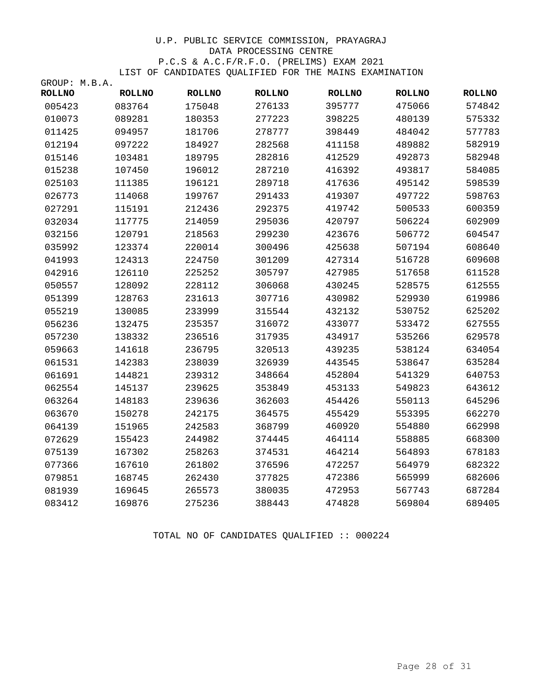| GROUP: M.B.A. |               |               |               |               |               |               |
|---------------|---------------|---------------|---------------|---------------|---------------|---------------|
| <b>ROLLNO</b> | <b>ROLLNO</b> | <b>ROLLNO</b> | <b>ROLLNO</b> | <b>ROLLNO</b> | <b>ROLLNO</b> | <b>ROLLNO</b> |
| 005423        | 083764        | 175048        | 276133        | 395777        | 475066        | 574842        |
| 010073        | 089281        | 180353        | 277223        | 398225        | 480139        | 575332        |
| 011425        | 094957        | 181706        | 278777        | 398449        | 484042        | 577783        |
| 012194        | 097222        | 184927        | 282568        | 411158        | 489882        | 582919        |
| 015146        | 103481        | 189795        | 282816        | 412529        | 492873        | 582948        |
| 015238        | 107450        | 196012        | 287210        | 416392        | 493817        | 584085        |
| 025103        | 111385        | 196121        | 289718        | 417636        | 495142        | 598539        |
| 026773        | 114068        | 199767        | 291433        | 419307        | 497722        | 598763        |
| 027291        | 115191        | 212436        | 292375        | 419742        | 500533        | 600359        |
| 032034        | 117775        | 214059        | 295036        | 420797        | 506224        | 602909        |
| 032156        | 120791        | 218563        | 299230        | 423676        | 506772        | 604547        |
| 035992        | 123374        | 220014        | 300496        | 425638        | 507194        | 608640        |
| 041993        | 124313        | 224750        | 301209        | 427314        | 516728        | 609608        |
| 042916        | 126110        | 225252        | 305797        | 427985        | 517658        | 611528        |
| 050557        | 128092        | 228112        | 306068        | 430245        | 528575        | 612555        |
| 051399        | 128763        | 231613        | 307716        | 430982        | 529930        | 619986        |
| 055219        | 130085        | 233999        | 315544        | 432132        | 530752        | 625202        |
| 056236        | 132475        | 235357        | 316072        | 433077        | 533472        | 627555        |
| 057230        | 138332        | 236516        | 317935        | 434917        | 535266        | 629578        |
| 059663        | 141618        | 236795        | 320513        | 439235        | 538124        | 634054        |
| 061531        | 142383        | 238039        | 326939        | 443545        | 538647        | 635284        |
| 061691        | 144821        | 239312        | 348664        | 452804        | 541329        | 640753        |
| 062554        | 145137        | 239625        | 353849        | 453133        | 549823        | 643612        |
| 063264        | 148183        | 239636        | 362603        | 454426        | 550113        | 645296        |
| 063670        | 150278        | 242175        | 364575        | 455429        | 553395        | 662270        |
| 064139        | 151965        | 242583        | 368799        | 460920        | 554880        | 662998        |
| 072629        | 155423        | 244982        | 374445        | 464114        | 558885        | 668300        |
| 075139        | 167302        | 258263        | 374531        | 464214        | 564893        | 678183        |
| 077366        | 167610        | 261802        | 376596        | 472257        | 564979        | 682322        |
| 079851        | 168745        | 262430        | 377825        | 472386        | 565999        | 682606        |
| 081939        | 169645        | 265573        | 380035        | 472953        | 567743        | 687284        |
| 083412        | 169876        | 275236        | 388443        | 474828        | 569804        | 689405        |

TOTAL NO OF CANDIDATES QUALIFIED :: 000224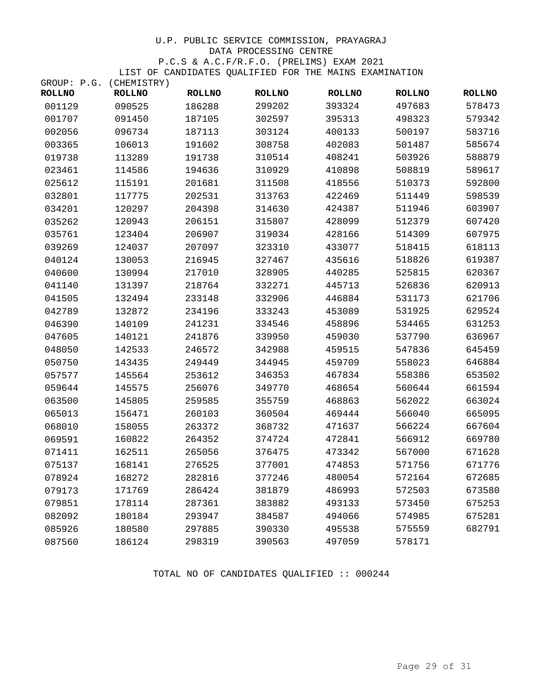| GROUP: P.G. (CHEMISTRY) |               |               |               |               |               |               |
|-------------------------|---------------|---------------|---------------|---------------|---------------|---------------|
| <b>ROLLNO</b>           | <b>ROLLNO</b> | <b>ROLLNO</b> | <b>ROLLNO</b> | <b>ROLLNO</b> | <b>ROLLNO</b> | <b>ROLLNO</b> |
| 001129                  | 090525        | 186288        | 299202        | 393324        | 497683        | 578473        |
| 001707                  | 091450        | 187105        | 302597        | 395313        | 498323        | 579342        |
| 002056                  | 096734        | 187113        | 303124        | 400133        | 500197        | 583716        |
| 003365                  | 106013        | 191602        | 308758        | 402083        | 501487        | 585674        |
| 019738                  | 113289        | 191738        | 310514        | 408241        | 503926        | 588879        |
| 023461                  | 114586        | 194636        | 310929        | 410898        | 508819        | 589617        |
| 025612                  | 115191        | 201681        | 311508        | 418556        | 510373        | 592800        |
| 032801                  | 117775        | 202531        | 313763        | 422469        | 511449        | 598539        |
| 034201                  | 120297        | 204398        | 314630        | 424387        | 511946        | 603907        |
| 035262                  | 120943        | 206151        | 315807        | 428099        | 512379        | 607420        |
| 035761                  | 123404        | 206907        | 319034        | 428166        | 514309        | 607975        |
| 039269                  | 124037        | 207097        | 323310        | 433077        | 518415        | 618113        |
| 040124                  | 130053        | 216945        | 327467        | 435616        | 518826        | 619387        |
| 040600                  | 130994        | 217010        | 328905        | 440285        | 525815        | 620367        |
| 041140                  | 131397        | 218764        | 332271        | 445713        | 526836        | 620913        |
| 041505                  | 132494        | 233148        | 332906        | 446884        | 531173        | 621706        |
| 042789                  | 132872        | 234196        | 333243        | 453089        | 531925        | 629524        |
| 046390                  | 140109        | 241231        | 334546        | 458896        | 534465        | 631253        |
| 047605                  | 140121        | 241876        | 339950        | 459030        | 537790        | 636967        |
| 048050                  | 142533        | 246572        | 342988        | 459515        | 547836        | 645459        |
| 050750                  | 143435        | 249449        | 344945        | 459709        | 558023        | 646884        |
| 057577                  | 145564        | 253612        | 346353        | 467834        | 558386        | 653502        |
| 059644                  | 145575        | 256076        | 349770        | 468654        | 560644        | 661594        |
| 063500                  | 145805        | 259585        | 355759        | 468863        | 562022        | 663024        |
| 065013                  | 156471        | 260103        | 360504        | 469444        | 566040        | 665095        |
| 068010                  | 158055        | 263372        | 368732        | 471637        | 566224        | 667604        |
| 069591                  | 160822        | 264352        | 374724        | 472841        | 566912        | 669780        |
| 071411                  | 162511        | 265056        | 376475        | 473342        | 567000        | 671628        |
| 075137                  | 168141        | 276525        | 377001        | 474853        | 571756        | 671776        |
| 078924                  | 168272        | 282816        | 377246        | 480054        | 572164        | 672685        |
| 079173                  | 171769        | 286424        | 381879        | 486993        | 572503        | 673580        |
| 079851                  | 178114        | 287361        | 383882        | 493133        | 573450        | 675253        |
| 082092                  | 180184        | 293947        | 384587        | 494066        | 574985        | 675281        |
| 085926                  | 180580        | 297885        | 390330        | 495538        | 575559        | 682791        |
| 087560                  | 186124        | 298319        | 390563        | 497059        | 578171        |               |

TOTAL NO OF CANDIDATES QUALIFIED :: 000244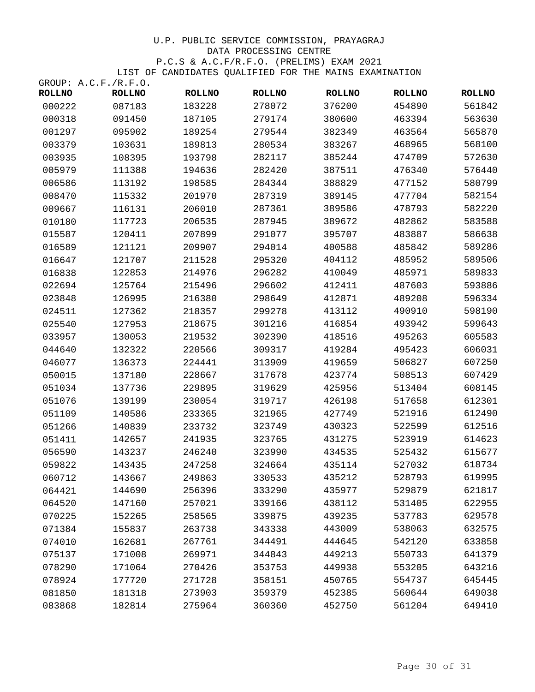|               | GROUP: A.C.F./R.F.O. |               |               |               |               |               |
|---------------|----------------------|---------------|---------------|---------------|---------------|---------------|
| <b>ROLLNO</b> | <b>ROLLNO</b>        | <b>ROLLNO</b> | <b>ROLLNO</b> | <b>ROLLNO</b> | <b>ROLLNO</b> | <b>ROLLNO</b> |
| 000222        | 087183               | 183228        | 278072        | 376200        | 454890        | 561842        |
| 000318        | 091450               | 187105        | 279174        | 380600        | 463394        | 563630        |
| 001297        | 095902               | 189254        | 279544        | 382349        | 463564        | 565870        |
| 003379        | 103631               | 189813        | 280534        | 383267        | 468965        | 568100        |
| 003935        | 108395               | 193798        | 282117        | 385244        | 474709        | 572630        |
| 005979        | 111388               | 194636        | 282420        | 387511        | 476340        | 576440        |
| 006586        | 113192               | 198585        | 284344        | 388829        | 477152        | 580799        |
| 008470        | 115332               | 201970        | 287319        | 389145        | 477704        | 582154        |
| 009667        | 116131               | 206010        | 287361        | 389586        | 478793        | 582220        |
| 010180        | 117723               | 206535        | 287945        | 389672        | 482862        | 583588        |
| 015587        | 120411               | 207899        | 291077        | 395707        | 483887        | 586638        |
| 016589        | 121121               | 209907        | 294014        | 400588        | 485842        | 589286        |
| 016647        | 121707               | 211528        | 295320        | 404112        | 485952        | 589506        |
| 016838        | 122853               | 214976        | 296282        | 410049        | 485971        | 589833        |
| 022694        | 125764               | 215496        | 296602        | 412411        | 487603        | 593886        |
| 023848        | 126995               | 216380        | 298649        | 412871        | 489208        | 596334        |
| 024511        | 127362               | 218357        | 299278        | 413112        | 490910        | 598190        |
| 025540        | 127953               | 218675        | 301216        | 416854        | 493942        | 599643        |
| 033957        | 130053               | 219532        | 302390        | 418516        | 495263        | 605583        |
| 044640        | 132322               | 220566        | 309317        | 419284        | 495423        | 606031        |
| 046077        | 136373               | 224441        | 313909        | 419659        | 506827        | 607250        |
| 050015        | 137180               | 228667        | 317678        | 423774        | 508513        | 607429        |
| 051034        | 137736               | 229895        | 319629        | 425956        | 513404        | 608145        |
| 051076        | 139199               | 230054        | 319717        | 426198        | 517658        | 612301        |
| 051109        | 140586               | 233365        | 321965        | 427749        | 521916        | 612490        |
| 051266        | 140839               | 233732        | 323749        | 430323        | 522599        | 612516        |
| 051411        | 142657               | 241935        | 323765        | 431275        | 523919        | 614623        |
| 056590        | 143237               | 246240        | 323990        | 434535        | 525432        | 615677        |
| 059822        | 143435               | 247258        | 324664        | 435114        | 527032        | 618734        |
| 060712        | 143667               | 249863        | 330533        | 435212        | 528793        | 619995        |
| 064421        | 144690               | 256396        | 333290        | 435977        | 529879        | 621817        |
| 064520        | 147160               | 257021        | 339166        | 438112        | 531405        | 622955        |
| 070225        | 152265               | 258565        | 339875        | 439235        | 537783        | 629578        |
| 071384        | 155837               | 263738        | 343338        | 443009        | 538063        | 632575        |
| 074010        | 162681               | 267761        | 344491        | 444645        | 542120        | 633858        |
| 075137        | 171008               | 269971        | 344843        | 449213        | 550733        | 641379        |
| 078290        | 171064               | 270426        | 353753        | 449938        | 553205        | 643216        |
| 078924        | 177720               | 271728        | 358151        | 450765        | 554737        | 645445        |
| 081850        | 181318               | 273903        | 359379        | 452385        | 560644        | 649038        |
| 083868        | 182814               | 275964        | 360360        | 452750        | 561204        | 649410        |